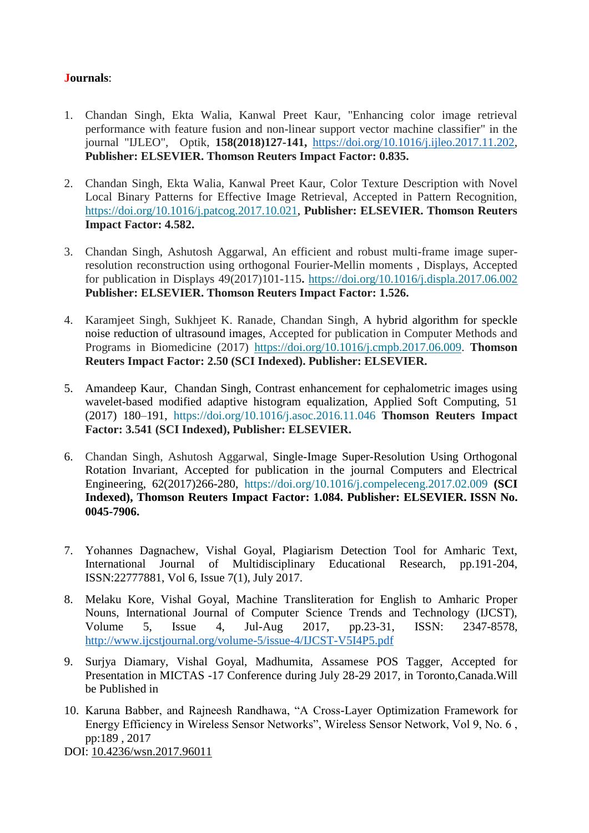## **Journals**:

- 1. Chandan Singh, Ekta Walia, Kanwal Preet Kaur, "Enhancing color image retrieval performance with feature fusion and non-linear support vector machine classifier" in the journal "IJLEO", Optik, **158(2018)127-141,** [https://doi.org/10.1016/j.ijleo.2017.11.202,](https://doi.org/10.1016/j.ijleo.2017.11.202) **Publisher: ELSEVIER. Thomson Reuters Impact Factor: 0.835.**
- 2. Chandan Singh, Ekta Walia, Kanwal Preet Kaur, Color Texture Description with Novel Local Binary Patterns for Effective Image Retrieval, Accepted in Pattern Recognition, [https://doi.org/10.1016/j.patcog.2017.10.021,](https://doi.org/10.1016/j.patcog.2017.10.021) **Publisher: ELSEVIER. Thomson Reuters Impact Factor: 4.582.**
- 3. Chandan Singh, Ashutosh Aggarwal, An efficient and robust multi-frame image superresolution reconstruction using orthogonal Fourier-Mellin moments , Displays, Accepted for publication in Displays 49(2017)101-115**.** <https://doi.org/10.1016/j.displa.2017.06.002> **Publisher: ELSEVIER. Thomson Reuters Impact Factor: 1.526.**
- 4. Karamjeet Singh, Sukhjeet K. Ranade, Chandan Singh, A hybrid algorithm for speckle noise reduction of ultrasound images, Accepted for publication in Computer Methods and Programs in Biomedicine (2017) [https://doi.org/10.1016/j.cmpb.2017.06.009.](https://doi.org/10.1016/j.cmpb.2017.06.009) **Thomson Reuters Impact Factor: 2.50 (SCI Indexed). Publisher: ELSEVIER.**
- 5. Amandeep Kaur, Chandan Singh, Contrast enhancement for cephalometric images using wavelet-based modified adaptive histogram equalization, Applied Soft Computing, 51 (2017) 180–191, <https://doi.org/10.1016/j.asoc.2016.11.046> **Thomson Reuters Impact Factor: 3.541 (SCI Indexed), Publisher: ELSEVIER.**
- 6. Chandan Singh, Ashutosh Aggarwal, Single-Image Super-Resolution Using Orthogonal Rotation Invariant, Accepted for publication in the journal Computers and Electrical Engineering, 62(2017)266-280, <https://doi.org/10.1016/j.compeleceng.2017.02.009> **(SCI Indexed), Thomson Reuters Impact Factor: 1.084. Publisher: ELSEVIER. ISSN No. 0045-7906.**
- 7. Yohannes Dagnachew, Vishal Goyal, Plagiarism Detection Tool for Amharic Text, International Journal of Multidisciplinary Educational Research, pp.191-204, ISSN:22777881, Vol 6, Issue 7(1), July 2017.
- 8. Melaku Kore, Vishal Goyal, Machine Transliteration for English to Amharic Proper Nouns, International Journal of Computer Science Trends and Technology (IJCST), Volume 5, Issue 4, Jul-Aug 2017, pp.23-31, ISSN: 2347-8578, <http://www.ijcstjournal.org/volume-5/issue-4/IJCST-V5I4P5.pdf>
- 9. Surjya Diamary, Vishal Goyal, Madhumita, Assamese POS Tagger, Accepted for Presentation in MICTAS -17 Conference during July 28-29 2017, in Toronto,Canada.Will be Published in
- 10. Karuna Babber, and Rajneesh Randhawa, "A Cross-Layer Optimization Framework for Energy Efficiency in Wireless Sensor Networks", Wireless Sensor Network, Vol 9, No. 6 , pp:189 , 2017

DOI: [10.4236/wsn.2017.96011](https://doi.org/10.4236/wsn.2017.96011)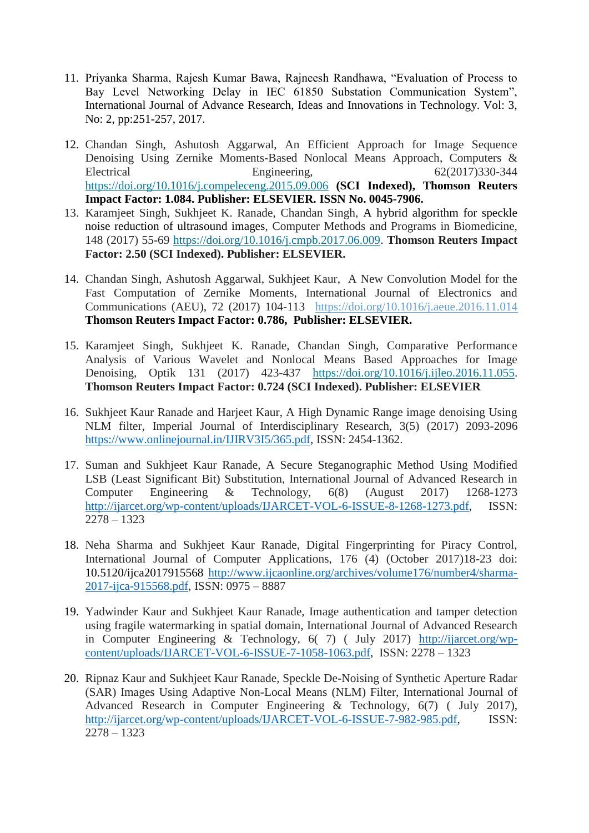- 11. Priyanka Sharma, Rajesh Kumar Bawa, Rajneesh Randhawa, "Evaluation of Process to Bay Level Networking Delay in IEC 61850 Substation Communication System", International Journal of Advance Research, Ideas and Innovations in Technology. Vol: 3, No: 2, pp:251-257, 2017.
- 12. Chandan Singh, Ashutosh Aggarwal, An Efficient Approach for Image Sequence Denoising Using Zernike Moments-Based Nonlocal Means Approach, Computers & Electrical Engineering, 62(2017)330-344 <https://doi.org/10.1016/j.compeleceng.2015.09.006> **(SCI Indexed), Thomson Reuters Impact Factor: 1.084. Publisher: ELSEVIER. ISSN No. 0045-7906.**
- 13. Karamjeet Singh, Sukhjeet K. Ranade, Chandan Singh, A hybrid algorithm for speckle noise reduction of ultrasound images, Computer Methods and Programs in Biomedicine, 148 (2017) 55-69 [https://doi.org/10.1016/j.cmpb.2017.06.009.](https://doi.org/10.1016/j.cmpb.2017.06.009) **Thomson Reuters Impact Factor: 2.50 (SCI Indexed). Publisher: ELSEVIER.**
- 14. Chandan Singh, Ashutosh Aggarwal, Sukhjeet Kaur, A New Convolution Model for the Fast Computation of Zernike Moments, International Journal of Electronics and Communications (AEU), 72 (2017) 104-113 <https://doi.org/10.1016/j.aeue.2016.11.014> **Thomson Reuters Impact Factor: 0.786, Publisher: ELSEVIER.**
- 15. Karamjeet Singh, Sukhjeet K. Ranade, Chandan Singh, Comparative Performance Analysis of Various Wavelet and Nonlocal Means Based Approaches for Image Denoising, Optik 131 (2017) 423-437 [https://doi.org/10.1016/j.ijleo.2016.11.055.](https://doi.org/10.1016/j.ijleo.2016.11.055) **Thomson Reuters Impact Factor: 0.724 (SCI Indexed). Publisher: ELSEVIER**
- 16. Sukhjeet Kaur Ranade and Harjeet Kaur, A High Dynamic Range image denoising Using NLM filter, Imperial Journal of Interdisciplinary Research, 3(5) (2017) 2093-2096 [https://www.onlinejournal.in/IJIRV3I5/365.pdf,](https://www.onlinejournal.in/IJIRV3I5/365.pdf) ISSN: 2454-1362.
- 17. Suman and Sukhjeet Kaur Ranade, A Secure Steganographic Method Using Modified LSB (Least Significant Bit) Substitution, International Journal of Advanced Research in Computer Engineering & Technology, 6(8) (August 2017) 1268-1273 [http://ijarcet.org/wp-content/uploads/IJARCET-VOL-6-ISSUE-8-1268-1273.pdf,](http://ijarcet.org/wp-content/uploads/IJARCET-VOL-6-ISSUE-8-1268-1273.pdf) ISSN: 2278 – 1323
- 18. Neha Sharma and Sukhjeet Kaur Ranade, Digital Fingerprinting for Piracy Control, International Journal of Computer Applications, 176 (4) (October 2017)18-23 doi: 10.5120/ijca2017915568 [http://www.ijcaonline.org/archives/volume176/number4/sharma-](http://www.ijcaonline.org/archives/volume176/number4/sharma-2017-ijca-915568.pdf)[2017-ijca-915568.pdf,](http://www.ijcaonline.org/archives/volume176/number4/sharma-2017-ijca-915568.pdf) ISSN: 0975 – 8887
- 19. Yadwinder Kaur and Sukhjeet Kaur Ranade, Image authentication and tamper detection using fragile watermarking in spatial domain, International Journal of Advanced Research in Computer Engineering & Technology, 6( 7) ( July 2017) [http://ijarcet.org/wp](http://ijarcet.org/wp-content/uploads/IJARCET-VOL-6-ISSUE-7-1058-1063.pdf)[content/uploads/IJARCET-VOL-6-ISSUE-7-1058-1063.pdf,](http://ijarcet.org/wp-content/uploads/IJARCET-VOL-6-ISSUE-7-1058-1063.pdf) ISSN: 2278 – 1323
- 20. Ripnaz Kaur and Sukhjeet Kaur Ranade, Speckle De-Noising of Synthetic Aperture Radar (SAR) Images Using Adaptive Non-Local Means (NLM) Filter, International Journal of Advanced Research in Computer Engineering & Technology, 6(7) ( July 2017), [http://ijarcet.org/wp-content/uploads/IJARCET-VOL-6-ISSUE-7-982-985.pdf,](http://ijarcet.org/wp-content/uploads/IJARCET-VOL-6-ISSUE-7-982-985.pdf) ISSN: 2278 – 1323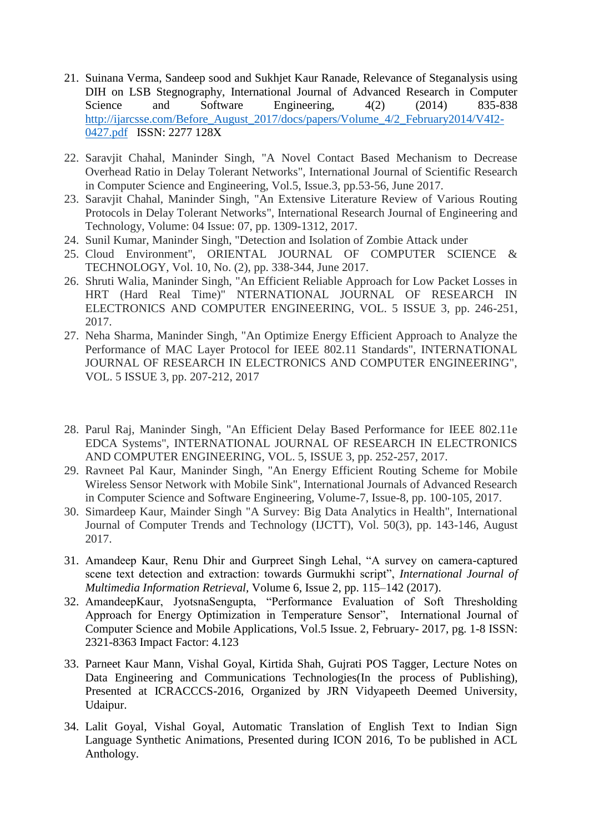- 21. Suinana Verma, Sandeep sood and Sukhjet Kaur Ranade, Relevance of Steganalysis using DIH on LSB Stegnography, International Journal of Advanced Research in Computer Science and Software Engineering, 4(2) (2014) 835-838 [http://ijarcsse.com/Before\\_August\\_2017/docs/papers/Volume\\_4/2\\_February2014/V4I2-](http://ijarcsse.com/Before_August_2017/docs/papers/Volume_4/2_February2014/V4I2-0427.pdf) [0427.pdf](http://ijarcsse.com/Before_August_2017/docs/papers/Volume_4/2_February2014/V4I2-0427.pdf) ISSN: 2277 128X
- 22. Saravjit Chahal, Maninder Singh, "A Novel Contact Based Mechanism to Decrease Overhead Ratio in Delay Tolerant Networks", International Journal of Scientific Research in Computer Science and Engineering, Vol.5, Issue.3, pp.53-56, June 2017.
- 23. Saravjit Chahal, Maninder Singh, "An Extensive Literature Review of Various Routing Protocols in Delay Tolerant Networks", International Research Journal of Engineering and Technology, Volume: 04 Issue: 07, pp. 1309-1312, 2017.
- 24. Sunil Kumar, Maninder Singh, "Detection and Isolation of Zombie Attack under
- 25. Cloud Environment", ORIENTAL JOURNAL OF COMPUTER SCIENCE & TECHNOLOGY, Vol. 10, No. (2), pp. 338-344, June 2017.
- 26. Shruti Walia, Maninder Singh, "An Efficient Reliable Approach for Low Packet Losses in HRT (Hard Real Time)" NTERNATIONAL JOURNAL OF RESEARCH IN ELECTRONICS AND COMPUTER ENGINEERING, VOL. 5 ISSUE 3, pp. 246-251, 2017.
- 27. Neha Sharma, Maninder Singh, "An Optimize Energy Efficient Approach to Analyze the Performance of MAC Layer Protocol for IEEE 802.11 Standards", INTERNATIONAL JOURNAL OF RESEARCH IN ELECTRONICS AND COMPUTER ENGINEERING", VOL. 5 ISSUE 3, pp. 207-212, 2017
- 28. Parul Raj, Maninder Singh, "An Efficient Delay Based Performance for IEEE 802.11e EDCA Systems", INTERNATIONAL JOURNAL OF RESEARCH IN ELECTRONICS AND COMPUTER ENGINEERING, VOL. 5, ISSUE 3, pp. 252-257, 2017.
- 29. Ravneet Pal Kaur, Maninder Singh, "An Energy Efficient Routing Scheme for Mobile Wireless Sensor Network with Mobile Sink", International Journals of Advanced Research in Computer Science and Software Engineering, Volume-7, Issue-8, pp. 100-105, 2017.
- 30. Simardeep Kaur, Mainder Singh "A Survey: Big Data Analytics in Health", International Journal of Computer Trends and Technology (IJCTT), Vol. 50(3), pp. 143-146, August 2017.
- 31. Amandeep Kaur, Renu Dhir and Gurpreet Singh Lehal, "A survey on camera-captured scene text detection and extraction: towards Gurmukhi script", *International Journal of Multimedia Information Retrieval,* Volume 6, Issue 2, pp. 115–142 (2017).
- 32. AmandeepKaur, JyotsnaSengupta, "Performance Evaluation of Soft Thresholding Approach for Energy Optimization in Temperature Sensor", International Journal of Computer Science and Mobile Applications, Vol.5 Issue. 2, February- 2017, pg. 1-8 ISSN: 2321-8363 Impact Factor: 4.123
- 33. Parneet Kaur Mann, Vishal Goyal, Kirtida Shah, Gujrati POS Tagger, Lecture Notes on Data Engineering and Communications Technologies(In the process of Publishing), Presented at ICRACCCS-2016, Organized by JRN Vidyapeeth Deemed University, Udaipur.
- 34. Lalit Goyal, Vishal Goyal, Automatic Translation of English Text to Indian Sign Language Synthetic Animations, Presented during ICON 2016, To be published in ACL Anthology.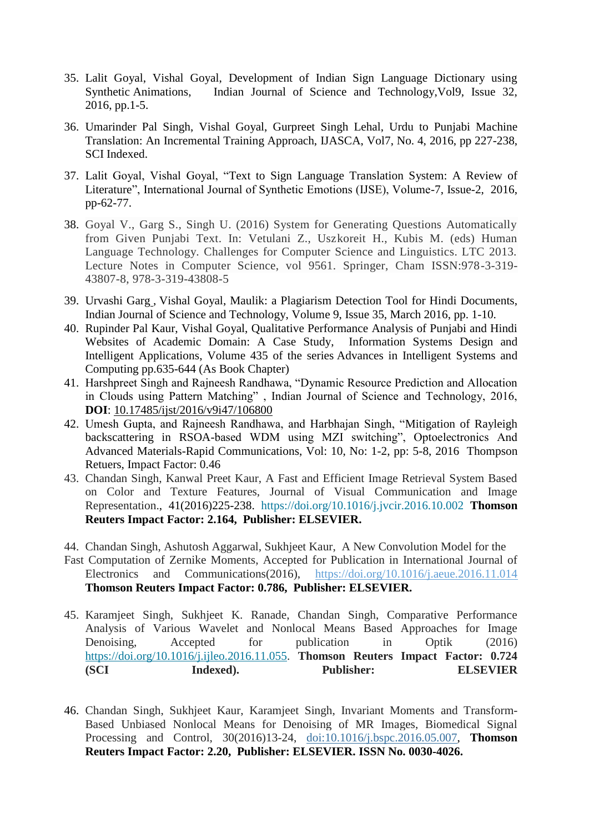- 35. Lalit Goyal, Vishal Goyal, Development of Indian Sign Language Dictionary using Synthetic Animations, Indian Journal of Science and Technology,Vol9, Issue 32, 2016, pp.1-5.
- 36. Umarinder Pal Singh, Vishal Goyal, Gurpreet Singh Lehal, Urdu to Punjabi Machine Translation: An Incremental Training Approach, IJASCA, Vol7, No. 4, 2016, pp 227-238, SCI Indexed.
- 37. Lalit Goyal, Vishal Goyal, ["Text to Sign Language Translation System: A Review of](http://www.igi-global.com/article/text-to-sign-language-translation-system/178521)  [Literature"](http://www.igi-global.com/article/text-to-sign-language-translation-system/178521), International Journal of Synthetic Emotions (IJSE), Volume-7, Issue-2, 2016, pp-62-77.
- 38. Goyal V., Garg S., Singh U. (2016) System for Generating Questions Automatically from Given Punjabi Text. In: Vetulani Z., Uszkoreit H., Kubis M. (eds) Human Language Technology. Challenges for Computer Science and Linguistics. LTC 2013. Lecture Notes in Computer Science, vol 9561. Springer, Cham ISSN:978-3-319- 43807-8, 978-3-319-43808-5
- 39. Urvashi Garg , Vishal Goyal, Maulik: a Plagiarism Detection Tool for Hindi Documents, Indian Journal of Science and Technology, [Volume 9, Issue 35, March 2016,](http://www.indjst.org/index.php/indjst/issue/view/6320) pp. 1-10.
- 40. Rupinder Pal Kaur, Vishal Goyal, Qualitative Performance Analysis of Punjabi and Hindi Websites of Academic Domain: A Case Study, Information Systems Design and Intelligent Applications, Volume 435 of the series Advances in Intelligent Systems and Computing pp.635-644 (As Book Chapter)
- 41. Harshpreet Singh and Rajneesh Randhawa, "Dynamic Resource Prediction and Allocation in Clouds using Pattern Matching" , Indian Journal of Science and Technology, 2016, **DOI**: [10.17485/ijst/2016/v9i47/106800](http://dx.doi.org/10.17485/ijst%2F2016%2Fv9i47%2F106800)
- 42. Umesh Gupta, and Rajneesh Randhawa, and Harbhajan Singh, "Mitigation of Rayleigh backscattering in RSOA-based WDM using MZI switching", Optoelectronics And Advanced Materials-Rapid Communications, Vol: 10, No: 1-2, pp: 5-8, 2016 Thompson Retuers, Impact Factor: 0.46
- 43. Chandan Singh, Kanwal Preet Kaur, A Fast and Efficient Image Retrieval System Based on Color and Texture Features, Journal of Visual Communication and Image Representation., 41(2016)225-238. <https://doi.org/10.1016/j.jvcir.2016.10.002> **Thomson Reuters Impact Factor: 2.164, Publisher: ELSEVIER.**
- 44. Chandan Singh, Ashutosh Aggarwal, Sukhjeet Kaur, A New Convolution Model for the
- Fast Computation of Zernike Moments, Accepted for Publication in International Journal of Electronics and Communications(2016), <https://doi.org/10.1016/j.aeue.2016.11.014> **Thomson Reuters Impact Factor: 0.786, Publisher: ELSEVIER.**
- 45. Karamjeet Singh, Sukhjeet K. Ranade, Chandan Singh, Comparative Performance Analysis of Various Wavelet and Nonlocal Means Based Approaches for Image Denoising, Accepted for publication in Optik (2016) [https://doi.org/10.1016/j.ijleo.2016.11.055.](https://doi.org/10.1016/j.ijleo.2016.11.055) **Thomson Reuters Impact Factor: 0.724 (SCI Indexed). Publisher: ELSEVIER**
- 46. Chandan Singh, Sukhjeet Kaur, Karamjeet Singh, Invariant Moments and Transform-Based Unbiased Nonlocal Means for Denoising of MR Images, Biomedical Signal Processing and Control, 30(2016)13-24, [doi:10.1016/j.bspc.2016.05.007,](http://dx.doi.org/10.1016/j.bspc.2016.05.007) **Thomson Reuters Impact Factor: 2.20, Publisher: ELSEVIER. ISSN No. 0030-4026.**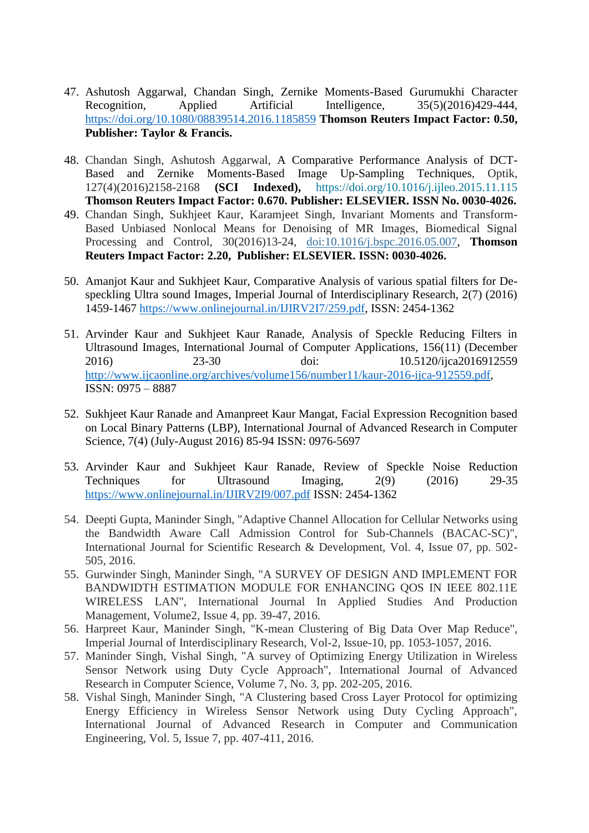- 47. Ashutosh Aggarwal, Chandan Singh, Zernike Moments-Based Gurumukhi Character Recognition, Applied Artificial Intelligence, 35(5)(2016)429-444, <https://doi.org/10.1080/08839514.2016.1185859> **Thomson Reuters Impact Factor: 0.50, Publisher: Taylor & Francis.**
- 48. Chandan Singh, Ashutosh Aggarwal, A Comparative Performance Analysis of DCT-Based and Zernike Moments-Based Image Up-Sampling Techniques, Optik, 127(4)(2016)2158-2168 **(SCI Indexed),** <https://doi.org/10.1016/j.ijleo.2015.11.115> **Thomson Reuters Impact Factor: 0.670. Publisher: ELSEVIER. ISSN No. 0030-4026.**
- 49. Chandan Singh, Sukhjeet Kaur, Karamjeet Singh, Invariant Moments and Transform-Based Unbiased Nonlocal Means for Denoising of MR Images, Biomedical Signal Processing and Control, 30(2016)13-24, [doi:10.1016/j.bspc.2016.05.007,](http://dx.doi.org/10.1016/j.bspc.2016.05.007) **Thomson Reuters Impact Factor: 2.20, Publisher: ELSEVIER. ISSN: 0030-4026.**
- 50. Amanjot Kaur and Sukhjeet Kaur, Comparative Analysis of various spatial filters for Despeckling Ultra sound Images, Imperial Journal of Interdisciplinary Research, 2(7) (2016) 1459-1467 [https://www.onlinejournal.in/IJIRV2I7/259.pdf,](https://www.onlinejournal.in/IJIRV2I7/259.pdf) ISSN: 2454-1362
- 51. Arvinder Kaur and Sukhjeet Kaur Ranade, Analysis of Speckle Reducing Filters in Ultrasound Images, International Journal of Computer Applications, 156(11) (December 2016) 23-30 doi: 10.5120/ijca2016912559 [http://www.ijcaonline.org/archives/volume156/number11/kaur-2016-ijca-912559.pdf,](http://www.ijcaonline.org/archives/volume156/number11/kaur-2016-ijca-912559.pdf) ISSN: 0975 – 8887
- 52. Sukhjeet Kaur Ranade and Amanpreet Kaur Mangat, Facial Expression Recognition based on Local Binary Patterns (LBP), International Journal of Advanced Research in Computer Science, 7(4) (July-August 2016) 85-94 ISSN: 0976-5697
- 53. Arvinder Kaur and Sukhjeet Kaur Ranade, Review of Speckle Noise Reduction Techniques for Ultrasound Imaging, 2(9) (2016) 29-35 <https://www.onlinejournal.in/IJIRV2I9/007.pdf> ISSN: 2454-1362
- 54. Deepti Gupta, Maninder Singh, "Adaptive Channel Allocation for Cellular Networks using the Bandwidth Aware Call Admission Control for Sub-Channels (BACAC-SC)", International Journal for Scientific Research & Development, Vol. 4, Issue 07, pp. 502- 505, 2016.
- 55. Gurwinder Singh, Maninder Singh, "A SURVEY OF DESIGN AND IMPLEMENT FOR BANDWIDTH ESTIMATION MODULE FOR ENHANCING QOS IN IEEE 802.11E WIRELESS LAN", International Journal In Applied Studies And Production Management, Volume2, Issue 4, pp. 39-47, 2016.
- 56. Harpreet Kaur, Maninder Singh, "K-mean Clustering of Big Data Over Map Reduce", Imperial Journal of Interdisciplinary Research, Vol-2, Issue-10, pp. 1053-1057, 2016.
- 57. Maninder Singh, Vishal Singh, "A survey of Optimizing Energy Utilization in Wireless Sensor Network using Duty Cycle Approach", International Journal of Advanced Research in Computer Science, Volume 7, No. 3, pp. 202-205, 2016.
- 58. Vishal Singh, Maninder Singh, "A Clustering based Cross Layer Protocol for optimizing Energy Efficiency in Wireless Sensor Network using Duty Cycling Approach", International Journal of Advanced Research in Computer and Communication Engineering, Vol. 5, Issue 7, pp. 407-411, 2016.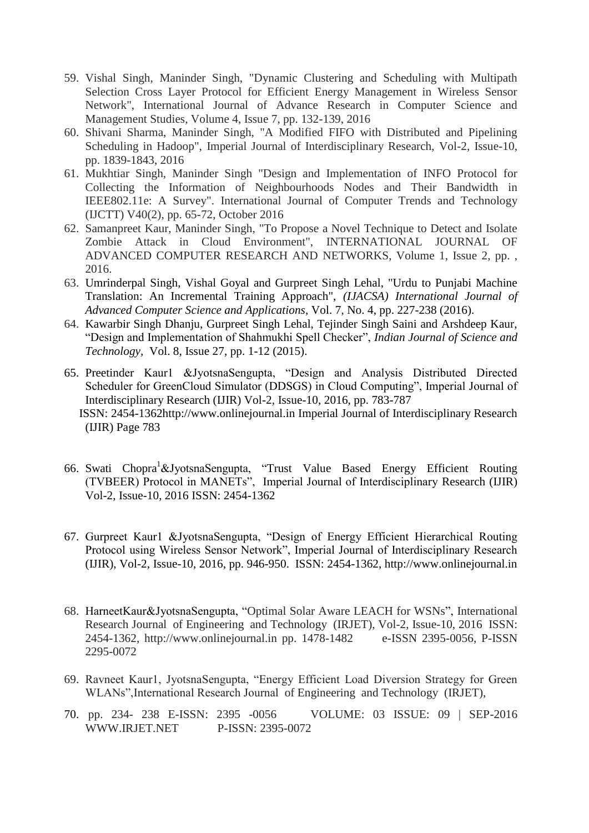- 59. Vishal Singh, Maninder Singh, "Dynamic Clustering and Scheduling with Multipath Selection Cross Layer Protocol for Efficient Energy Management in Wireless Sensor Network", International Journal of Advance Research in Computer Science and Management Studies, Volume 4, Issue 7, pp. 132-139, 2016
- 60. Shivani Sharma, Maninder Singh, "A Modified FIFO with Distributed and Pipelining Scheduling in Hadoop", Imperial Journal of Interdisciplinary Research, Vol-2, Issue-10, pp. 1839-1843, 2016
- 61. Mukhtiar Singh, Maninder Singh "Design and Implementation of INFO Protocol for Collecting the Information of Neighbourhoods Nodes and Their Bandwidth in IEEE802.11e: A Survey". International Journal of Computer Trends and Technology (IJCTT) V40(2), pp. 65-72, October 2016
- 62. Samanpreet Kaur, Maninder Singh, "To Propose a Novel Technique to Detect and Isolate Zombie Attack in Cloud Environment", INTERNATIONAL JOURNAL OF ADVANCED COMPUTER RESEARCH AND NETWORKS, Volume 1, Issue 2, pp. , 2016.
- 63. Umrinderpal Singh, Vishal Goyal and Gurpreet Singh Lehal, "Urdu to Punjabi Machine Translation: An Incremental Training Approach", *(IJACSA) International Journal of Advanced Computer Science and Applications,* Vol. 7, No. 4, pp. 227-238 (2016).
- 64. Kawarbir Singh Dhanju, Gurpreet Singh Lehal, Tejinder Singh Saini and Arshdeep Kaur, "Design and Implementation of Shahmukhi Spell Checker", *Indian Journal of Science and Technology,* Vol. 8, Issue 27, pp. 1-12 (2015).
- 65. Preetinder Kaur1 &JyotsnaSengupta, "Design and Analysis Distributed Directed Scheduler for GreenCloud Simulator (DDSGS) in Cloud Computing", Imperial Journal of Interdisciplinary Research (IJIR) Vol-2, Issue-10, 2016, pp. 783-787 ISSN: 2454-1362http://www.onlinejournal.in Imperial Journal of Interdisciplinary Research (IJIR) Page 783
- 66. Swati Chopra<sup>1</sup>&JyotsnaSengupta, "Trust Value Based Energy Efficient Routing (TVBEER) Protocol in MANETs", Imperial Journal of Interdisciplinary Research (IJIR) Vol-2, Issue-10, 2016 ISSN: 2454-1362
- 67. Gurpreet Kaur1 &JyotsnaSengupta, "Design of Energy Efficient Hierarchical Routing Protocol using Wireless Sensor Network", Imperial Journal of Interdisciplinary Research (IJIR), Vol-2, Issue-10, 2016, pp. 946-950. ISSN: 2454-1362, http://www.onlinejournal.in
- 68. HarneetKaur&JyotsnaSengupta, "Optimal Solar Aware LEACH for WSNs", International Research Journal of Engineering and Technology (IRJET), Vol-2, Issue-10, 2016 ISSN: 2454-1362, http://www.onlinejournal.in pp. 1478-1482 e-ISSN 2395-0056, P-ISSN 2295-0072
- 69. Ravneet Kaur1, JyotsnaSengupta, "Energy Efficient Load Diversion Strategy for Green WLANs",International Research Journal of Engineering and Technology (IRJET),
- 70. pp. 234- 238 E-ISSN: 2395 -0056 VOLUME: 03 ISSUE: 09 | SEP-2016 WWW.IRJET.NET P-ISSN: 2395-0072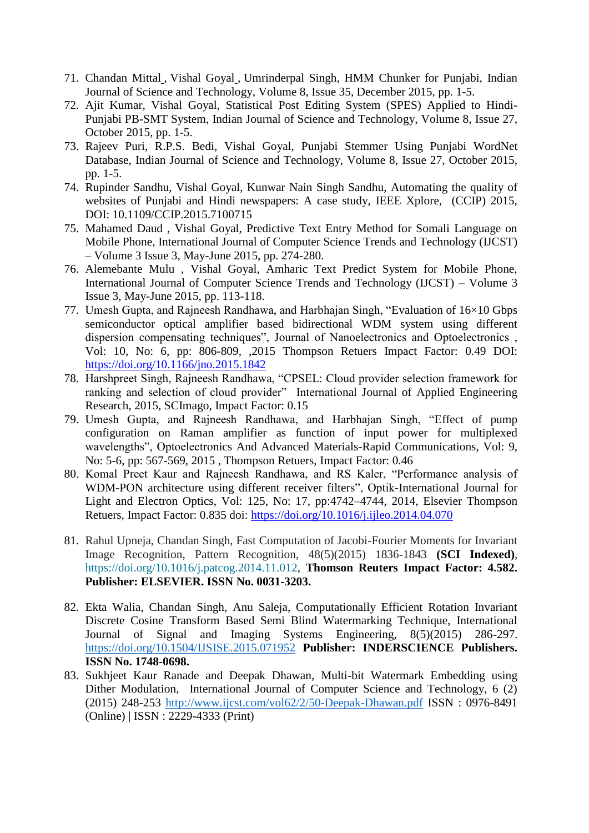- 71. Chandan Mittal , Vishal Goyal , Umrinderpal Singh, HMM Chunker for Punjabi, Indian Journal of Science and Technology, [Volume 8, Issue 35, December 2015,](http://www.indjst.org/index.php/indjst/issue/view/6320) pp. 1-5.
- 72. Ajit Kumar, Vishal Goyal, Statistical Post Editing System (SPES) Applied to Hindi-Punjabi PB-SMT System, Indian Journal of Science and Technology, [Volume 8, Issue 27,](http://www.indjst.org/index.php/indjst/issue/view/6320)  [October 2015,](http://www.indjst.org/index.php/indjst/issue/view/6320) pp. 1-5.
- 73. Rajeev Puri, R.P.S. Bedi, Vishal Goyal, [Punjabi Stemmer Using Punjabi WordNet](http://www.indjst.org/index.php/indjst/article/view/82943)  [Database,](http://www.indjst.org/index.php/indjst/article/view/82943) Indian Journal of Science and Technology, [Volume 8, Issue 27, October 2015,](http://www.indjst.org/index.php/indjst/issue/view/6320) pp. 1-5.
- 74. Rupinder Sandhu, Vishal Goyal, Kunwar Nain Singh Sandhu, Automating the quality of websites of Punjabi and Hindi newspapers: A case study, IEEE Xplore, (CCIP) 2015, DOI: 10.1109/CCIP.2015.7100715
- 75. Mahamed Daud , Vishal Goyal, Predictive Text Entry Method for Somali Language on Mobile Phone, International Journal of Computer Science Trends and Technology (IJCST) – Volume 3 Issue 3, May-June 2015, pp. 274-280.
- 76. Alemebante Mulu , Vishal Goyal, Amharic Text Predict System for Mobile Phone, International Journal of Computer Science Trends and Technology (IJCST) – Volume 3 Issue 3, May-June 2015, pp. 113-118.
- 77. Umesh Gupta, and Rajneesh Randhawa, and Harbhajan Singh, "Evaluation of 16×10 Gbps semiconductor optical amplifier based bidirectional WDM system using different dispersion compensating techniques", Journal of Nanoelectronics and Optoelectronics , Vol: 10, No: 6, pp: 806-809, ,2015 Thompson Retuers Impact Factor: 0.49 DOI: <https://doi.org/10.1166/jno.2015.1842>
- 78. Harshpreet Singh, Rajneesh Randhawa, "CPSEL: Cloud provider selection framework for ranking and selection of cloud provider" International Journal of Applied Engineering Research, 2015, SCImago, Impact Factor: 0.15
- 79. Umesh Gupta, and Rajneesh Randhawa, and Harbhajan Singh, "Effect of pump configuration on Raman amplifier as function of input power for multiplexed wavelengths", Optoelectronics And Advanced Materials-Rapid Communications, Vol: 9, No: 5-6, pp: 567-569, 2015 , Thompson Retuers, Impact Factor: 0.46
- 80. Komal Preet Kaur and Rajneesh Randhawa, and RS Kaler, "Performance analysis of WDM-PON architecture using different receiver filters", Optik-International Journal for Light and Electron Optics, Vol: 125, No: 17, pp:4742–4744, 2014, Elsevier Thompson Retuers, Impact Factor: 0.835 doi:<https://doi.org/10.1016/j.ijleo.2014.04.070>
- 81. Rahul Upneja, Chandan Singh, Fast Computation of Jacobi-Fourier Moments for Invariant Image Recognition, Pattern Recognition, 48(5)(2015) 1836-1843 **(SCI Indexed)**, [https://doi.org/10.1016/j.patcog.2014.11.012,](https://doi.org/10.1016/j.patcog.2014.11.012) **Thomson Reuters Impact Factor: 4.582. Publisher: ELSEVIER. ISSN No. 0031-3203.**
- 82. Ekta Walia, Chandan Singh, Anu Saleja, Computationally Efficient Rotation Invariant Discrete Cosine Transform Based Semi Blind Watermarking Technique, International Journal of Signal and Imaging Systems Engineering, 8(5)(2015) 286-297. <https://doi.org/10.1504/IJSISE.2015.071952> **Publisher: INDERSCIENCE Publishers. ISSN No. 1748-0698.**
- 83. Sukhjeet Kaur Ranade and Deepak Dhawan, Multi-bit Watermark Embedding using Dither Modulation, International Journal of Computer Science and Technology, 6 (2) (2015) 248-253<http://www.ijcst.com/vol62/2/50-Deepak-Dhawan.pdf> ISSN : 0976-8491 (Online) | ISSN : 2229-4333 (Print)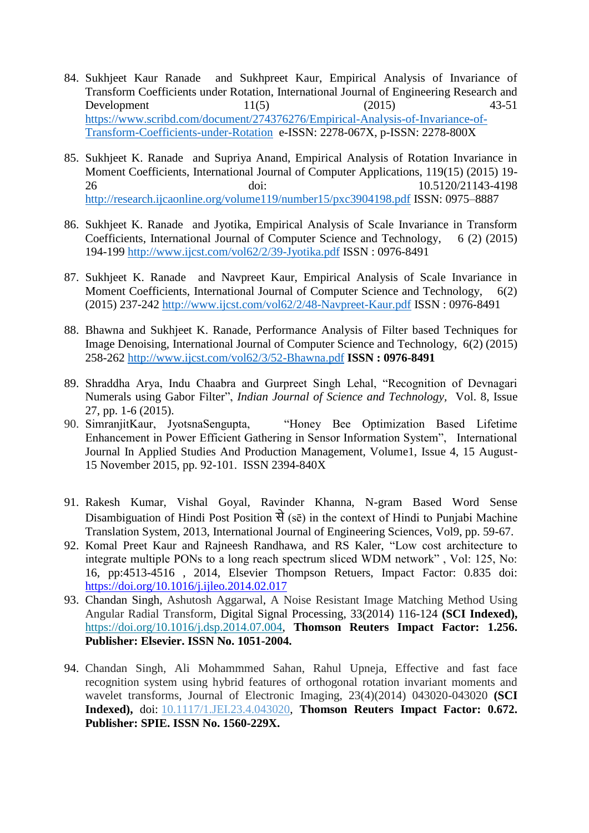- 84. Sukhjeet Kaur Ranade and Sukhpreet Kaur, Empirical Analysis of Invariance of Transform Coefficients under Rotation, International Journal of Engineering Research and Development 11(5) (2015) 43-51 [https://www.scribd.com/document/274376276/Empirical-Analysis-of-Invariance-of-](https://www.scribd.com/document/274376276/Empirical-Analysis-of-Invariance-of-Transform-Coefficients-under-Rotation)[Transform-Coefficients-under-Rotation](https://www.scribd.com/document/274376276/Empirical-Analysis-of-Invariance-of-Transform-Coefficients-under-Rotation) e-ISSN: 2278-067X, p-ISSN: 2278-800X
- 85. Sukhjeet K. Ranade and Supriya Anand, Empirical Analysis of Rotation Invariance in Moment Coefficients, International Journal of Computer Applications, 119(15) (2015) 19- 26 doi: 10.5120/21143-4198 <http://research.ijcaonline.org/volume119/number15/pxc3904198.pdf> ISSN: 0975–8887
- 86. Sukhjeet K. Ranade and Jyotika, Empirical Analysis of Scale Invariance in Transform Coefficients, International Journal of Computer Science and Technology, 6 (2) (2015) 194-199<http://www.ijcst.com/vol62/2/39-Jyotika.pdf> ISSN : 0976-8491
- 87. Sukhjeet K. Ranade and Navpreet Kaur, Empirical Analysis of Scale Invariance in Moment Coefficients, International Journal of Computer Science and Technology, 6(2) (2015) 237-242<http://www.ijcst.com/vol62/2/48-Navpreet-Kaur.pdf> ISSN : 0976-8491
- 88. Bhawna and Sukhjeet K. Ranade, Performance Analysis of Filter based Techniques for Image Denoising, International Journal of Computer Science and Technology, 6(2) (2015) 258-262<http://www.ijcst.com/vol62/3/52-Bhawna.pdf> **ISSN : 0976-8491**
- 89. Shraddha Arya, Indu Chaabra and Gurpreet Singh Lehal, "Recognition of Devnagari Numerals using Gabor Filter", *Indian Journal of Science and Technology,* Vol. 8, Issue 27, pp. 1-6 (2015).
- 90. SimranjitKaur, JyotsnaSengupta, "Honey Bee Optimization Based Lifetime Enhancement in Power Efficient Gathering in Sensor Information System", International Journal In Applied Studies And Production Management, Volume1, Issue 4, 15 August-15 November 2015, pp. 92-101. ISSN 2394-840X
- 91. Rakesh Kumar, Vishal Goyal, Ravinder Khanna, [N-gram Based Word Sense](http://ijoes.vidyapublications.com/paper/Vol9/09-Vol9.pdf)  Disambiguation of Hindi Post Position से (se) in the context of Hindi to Punjabi Machine [Translation System,](http://ijoes.vidyapublications.com/paper/Vol9/09-Vol9.pdf) 2013, International Journal of Engineering Sciences, Vol9, pp. 59-67.
- 92. Komal Preet Kaur and Rajneesh Randhawa, and RS Kaler, "Low cost architecture to integrate multiple PONs to a long reach spectrum sliced WDM network" , Vol: 125, No: 16, pp:4513-4516 , 2014, Elsevier Thompson Retuers, Impact Factor: 0.835 doi: <https://doi.org/10.1016/j.ijleo.2014.02.017>
- 93. Chandan Singh, Ashutosh Aggarwal, A Noise Resistant Image Matching Method Using Angular Radial Transform, Digital Signal Processing, 33(2014) 116-124 **(SCI Indexed),**  [https://doi.org/10.1016/j.dsp.2014.07.004,](https://doi.org/10.1016/j.dsp.2014.07.004) **Thomson Reuters Impact Factor: 1.256. Publisher: Elsevier. ISSN No. 1051-2004.**
- 94. Chandan Singh, Ali Mohammmed Sahan, Rahul Upneja, Effective and fast face recognition system using hybrid features of orthogonal rotation invariant moments and wavelet transforms, Journal of Electronic Imaging, 23(4)(2014) 043020-043020 **(SCI Indexed),** doi: [10.1117/1.JEI.23.4.043020,](http://dx.doi.org/10.1117/1.JEI.23.4.043020) **Thomson Reuters Impact Factor: 0.672. Publisher: SPIE. ISSN No. 1560-229X.**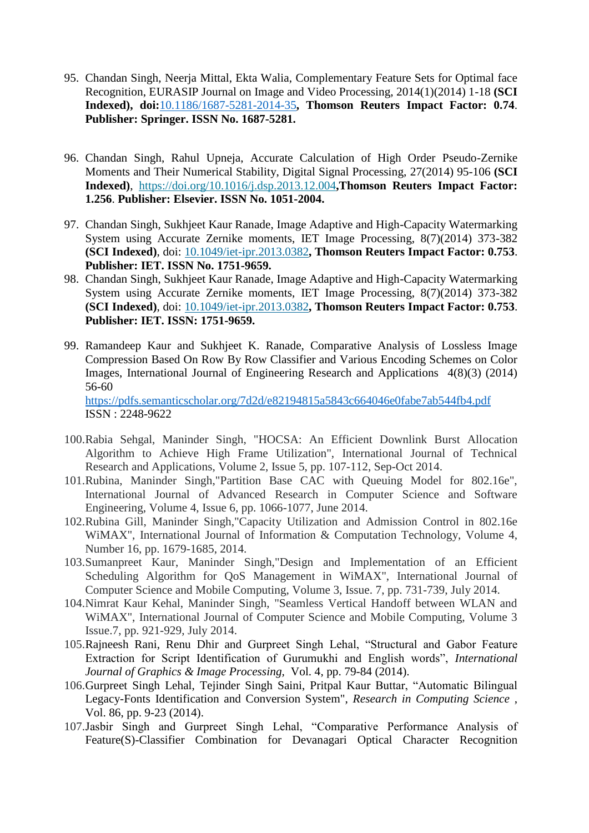- 95. Chandan Singh, Neerja Mittal, Ekta Walia, Complementary Feature Sets for Optimal face Recognition, EURASIP Journal on Image and Video Processing, 2014(1)(2014) 1-18 **(SCI Indexed), doi:**[10.1186/1687-5281-2014-35](https://doi.org/10.1186/1687-5281-2014-35)**, Thomson Reuters Impact Factor: 0.74**. **Publisher: Springer. ISSN No. 1687-5281.**
- 96. Chandan Singh, Rahul Upneja, Accurate Calculation of High Order Pseudo-Zernike Moments and Their Numerical Stability, Digital Signal Processing, 27(2014) 95-106 **(SCI Indexed)**, <https://doi.org/10.1016/j.dsp.2013.12.004>**,Thomson Reuters Impact Factor: 1.256**. **Publisher: Elsevier. ISSN No. 1051-2004.**
- 97. Chandan Singh, Sukhjeet Kaur Ranade, Image Adaptive and High-Capacity Watermarking System using Accurate Zernike moments, IET Image Processing, 8(7)(2014) 373-382 **(SCI Indexed)**, doi: [10.1049/iet-ipr.2013.0382](https://doi.org/10.1049/iet-ipr.2013.0382)**, Thomson Reuters Impact Factor: 0.753**. **Publisher: IET. ISSN No. 1751-9659.**
- 98. Chandan Singh, Sukhjeet Kaur Ranade, Image Adaptive and High-Capacity Watermarking System using Accurate Zernike moments, IET Image Processing, 8(7)(2014) 373-382 **(SCI Indexed)**, doi: [10.1049/iet-ipr.2013.0382](https://doi.org/10.1049/iet-ipr.2013.0382)**, Thomson Reuters Impact Factor: 0.753**. **Publisher: IET. ISSN: 1751-9659.**
- 99. Ramandeep Kaur and Sukhjeet K. Ranade, Comparative Analysis of Lossless Image Compression Based On Row By Row Classifier and Various Encoding Schemes on Color Images, International Journal of Engineering Research and Applications 4(8)(3) (2014) 56-60 <https://pdfs.semanticscholar.org/7d2d/e82194815a5843c664046e0fabe7ab544fb4.pdf> ISSN : 2248-9622
- 100.Rabia Sehgal, Maninder Singh, "HOCSA: An Efficient Downlink Burst Allocation Algorithm to Achieve High Frame Utilization", International Journal of Technical Research and Applications, Volume 2, Issue 5, pp. 107-112, Sep-Oct 2014.
- 101.Rubina, Maninder Singh,"Partition Base CAC with Queuing Model for 802.16e", International Journal of Advanced Research in Computer Science and Software Engineering, Volume 4, Issue 6, pp. 1066-1077, June 2014.
- 102.Rubina Gill, Maninder Singh,"Capacity Utilization and Admission Control in 802.16e WiMAX", International Journal of Information & Computation Technology, Volume 4, Number 16, pp. 1679-1685, 2014.
- 103.Sumanpreet Kaur, Maninder Singh,"Design and Implementation of an Efficient Scheduling Algorithm for QoS Management in WiMAX", International Journal of Computer Science and Mobile Computing, Volume 3, Issue. 7, pp. 731-739, July 2014.
- 104.Nimrat Kaur Kehal, Maninder Singh, "Seamless Vertical Handoff between WLAN and WiMAX", International Journal of Computer Science and Mobile Computing, Volume 3 Issue.7, pp. 921-929, July 2014.
- 105.Rajneesh Rani, Renu Dhir and Gurpreet Singh Lehal, "Structural and Gabor Feature Extraction for Script Identification of Gurumukhi and English words", *International Journal of Graphics & Image Processing,* Vol. 4, pp. 79-84 (2014).
- 106.Gurpreet Singh Lehal, Tejinder Singh Saini, Pritpal Kaur Buttar, "Automatic Bilingual Legacy-Fonts Identification and Conversion System", *Research in Computing Science* , Vol. 86, pp. 9-23 (2014).
- 107.Jasbir Singh and Gurpreet Singh Lehal, "Comparative Performance Analysis of Feature(S)-Classifier Combination for Devanagari Optical Character Recognition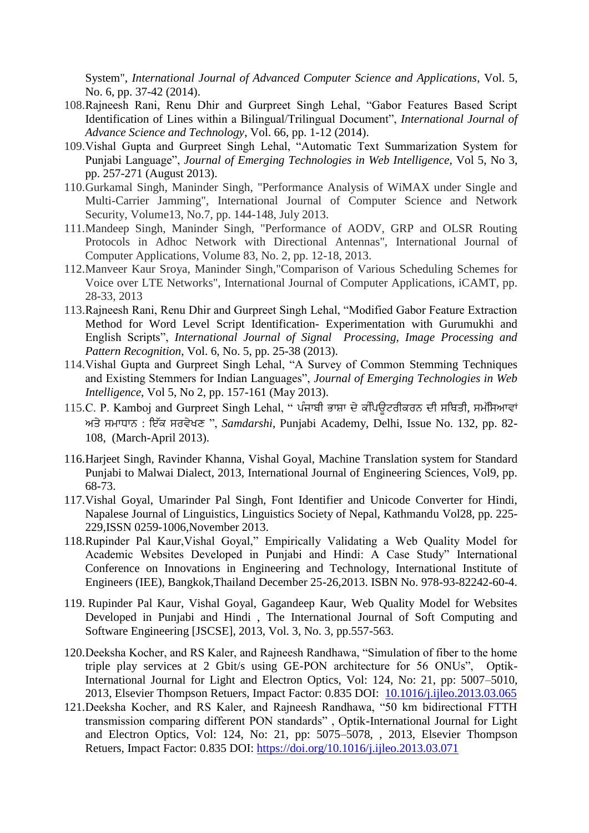System", *International Journal of Advanced Computer Science and Applications*, Vol. 5, No. 6, pp. 37-42 (2014).

- 108.Rajneesh Rani, Renu Dhir and Gurpreet Singh Lehal, "Gabor Features Based Script Identification of Lines within a Bilingual/Trilingual Document", *International Journal of Advance Science and Technology*, Vol. 66, pp. 1-12 (2014).
- 109.Vishal Gupta and Gurpreet Singh Lehal, "Automatic Text Summarization System for Punjabi Language", *Journal of Emerging Technologies in Web Intelligence*, Vol 5, No 3, pp. 257-271 (August 2013).
- 110.Gurkamal Singh, Maninder Singh, "Performance Analysis of WiMAX under Single and Multi-Carrier Jamming", International Journal of Computer Science and Network Security, Volume13, No.7, pp. 144-148, July 2013.
- 111.Mandeep Singh, Maninder Singh, "Performance of AODV, GRP and OLSR Routing Protocols in Adhoc Network with Directional Antennas", International Journal of Computer Applications, Volume 83, No. 2, pp. 12-18, 2013.
- 112.Manveer Kaur Sroya, Maninder Singh,"Comparison of Various Scheduling Schemes for Voice over LTE Networks", International Journal of Computer Applications, iCAMT, pp. 28-33, 2013
- 113.Rajneesh Rani, Renu Dhir and Gurpreet Singh Lehal, "Modified Gabor Feature Extraction Method for Word Level Script Identification- Experimentation with Gurumukhi and English Scripts", *International Journal of Signal Processing, Image Processing and Pattern Recognition*, Vol. 6, No. 5, pp. 25-38 (2013).
- 114.Vishal Gupta and Gurpreet Singh Lehal, "A Survey of Common Stemming Techniques and Existing Stemmers for Indian Languages", *Journal of Emerging Technologies in Web Intelligence*, Vol 5, No 2, pp. 157-161 (May 2013).
- 115.C. P. Kamboj and Gurpreet Singh Lehal, " ਪੰਜਾਬੀ ਭਾਸ਼ਾ ਦੇ ਕੰਪਿਊਟਰੀਕਰਨ ਦੀ ਸਥਿਤੀ, ਸਮੱਸਿਆਵਾਂ ਅਤੇਮਾਧਾਨ : ਇੱਕ ਰਵੇਖਣ ", *Samdarshi*, Punjabi Academy, Delhi, Issue No. 132, pp. 82- 108, (March-April 2013).
- 116.Harjeet Singh, Ravinder Khanna, Vishal Goyal, [Machine Translation system for Standard](http://ijoes.vidyapublications.com/paper/Vol9/10-Vol9.pdf)  [Punjabi to Malwai Dialect,](http://ijoes.vidyapublications.com/paper/Vol9/10-Vol9.pdf) 2013, International Journal of Engineering Sciences, Vol9, pp. 68-73.
- 117.Vishal Goyal, Umarinder Pal Singh, Font Identifier and Unicode Converter for Hindi, Napalese Journal of Linguistics, Linguistics Society of Nepal, Kathmandu Vol28, pp. 225- 229,ISSN 0259-1006,November 2013.
- 118.Rupinder Pal Kaur,Vishal Goyal," Empirically Validating a Web Quality Model for Academic Websites Developed in Punjabi and Hindi: A Case Study" International Conference on Innovations in Engineering and Technology, International Institute of Engineers (IEE), Bangkok,Thailand December 25-26,2013. ISBN No. 978-93-82242-60-4.
- 119. Rupinder Pal Kaur, Vishal Goyal, Gagandeep Kaur, Web Quality Model for Websites Developed in Punjabi and Hindi , The International Journal of Soft Computing and Software Engineering [JSCSE], 2013, Vol. 3, No. 3, pp.557-563.
- 120.Deeksha Kocher, and RS Kaler, and Rajneesh Randhawa, "Simulation of fiber to the home triple play services at 2 Gbit/s using GE-PON architecture for 56 ONUs", Optik-International Journal for Light and Electron Optics, Vol: 124, No: 21, pp: 5007–5010, 2013, Elsevier Thompson Retuers, Impact Factor: 0.835 DOI: 10.1016/j.ijleo.2013.03.065
- 121.Deeksha Kocher, and RS Kaler, and Rajneesh Randhawa, "50 km bidirectional FTTH transmission comparing different PON standards" , Optik-International Journal for Light and Electron Optics, Vol: 124, No: 21, pp: 5075–5078, , 2013, Elsevier Thompson Retuers, Impact Factor: 0.835 DOI:<https://doi.org/10.1016/j.ijleo.2013.03.071>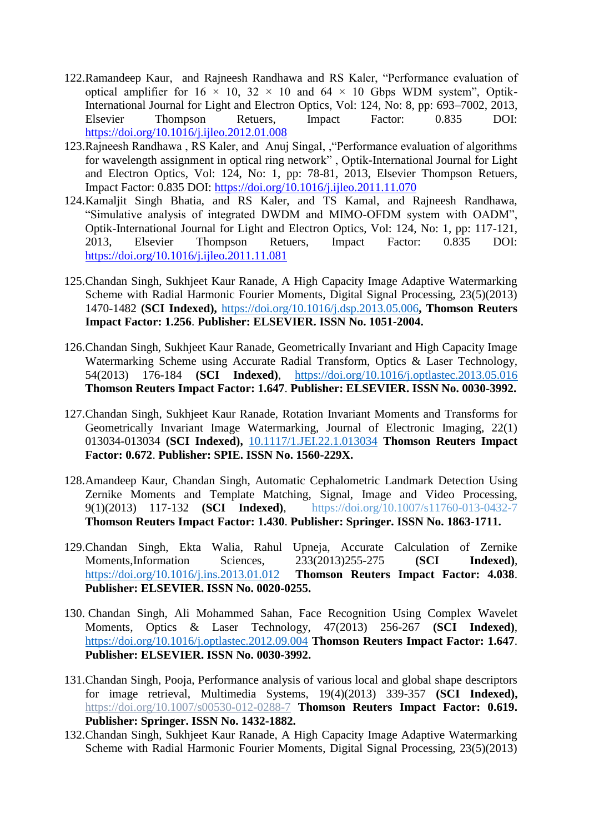- 122.Ramandeep Kaur, and Rajneesh Randhawa and RS Kaler, "Performance evaluation of optical amplifier for  $16 \times 10$ ,  $32 \times 10$  and  $64 \times 10$  Gbps WDM system", Optik-International Journal for Light and Electron Optics, Vol: 124, No: 8, pp: 693–7002, 2013, Elsevier Thompson Retuers, Impact Factor: 0.835 DOI: <https://doi.org/10.1016/j.ijleo.2012.01.008>
- 123.Rajneesh Randhawa , RS Kaler, and Anuj Singal, ,"Performance evaluation of algorithms for wavelength assignment in optical ring network" , Optik-International Journal for Light and Electron Optics, Vol: 124, No: 1, pp: 78-81, 2013, Elsevier Thompson Retuers, Impact Factor: 0.835 DOI:<https://doi.org/10.1016/j.ijleo.2011.11.070>
- 124.Kamaljit Singh Bhatia, and RS Kaler, and TS Kamal, and Rajneesh Randhawa, "Simulative analysis of integrated DWDM and MIMO-OFDM system with OADM", Optik-International Journal for Light and Electron Optics, Vol: 124, No: 1, pp: 117-121, 2013, Elsevier Thompson Retuers, Impact Factor: 0.835 DOI: <https://doi.org/10.1016/j.ijleo.2011.11.081>
- 125.Chandan Singh, Sukhjeet Kaur Ranade, A High Capacity Image Adaptive Watermarking Scheme with Radial Harmonic Fourier Moments, Digital Signal Processing, 23(5)(2013) 1470-1482 **(SCI Indexed),** <https://doi.org/10.1016/j.dsp.2013.05.006>**, Thomson Reuters Impact Factor: 1.256**. **Publisher: ELSEVIER. ISSN No. 1051-2004.**
- 126.Chandan Singh, Sukhjeet Kaur Ranade, Geometrically Invariant and High Capacity Image Watermarking Scheme using Accurate Radial Transform, Optics & Laser Technology, 54(2013) 176-184 **(SCI Indexed)**, <https://doi.org/10.1016/j.optlastec.2013.05.016> **Thomson Reuters Impact Factor: 1.647**. **Publisher: ELSEVIER. ISSN No. 0030-3992.**
- 127.Chandan Singh, Sukhjeet Kaur Ranade, Rotation Invariant Moments and Transforms for Geometrically Invariant Image Watermarking, Journal of Electronic Imaging, 22(1) 013034-013034 **(SCI Indexed),** [10.1117/1.JEI.22.1.013034](http://dx.doi.org/10.1117/1.JEI.22.1.013034) **Thomson Reuters Impact Factor: 0.672**. **Publisher: SPIE. ISSN No. 1560-229X.**
- 128.Amandeep Kaur, Chandan Singh, Automatic Cephalometric Landmark Detection Using Zernike Moments and Template Matching, Signal, Image and Video Processing, 9(1)(2013) 117-132 **(SCI Indexed)**, https://doi.org/10.1007/s11760-013-0432-7 **Thomson Reuters Impact Factor: 1.430**. **Publisher: Springer. ISSN No. 1863-1711.**
- 129.Chandan Singh, Ekta Walia, Rahul Upneja, Accurate Calculation of Zernike Moments,Information Sciences, 233(2013)255-275 **(SCI Indexed)**, <https://doi.org/10.1016/j.ins.2013.01.012> **Thomson Reuters Impact Factor: 4.038**. **Publisher: ELSEVIER. ISSN No. 0020-0255.**
- 130. Chandan Singh, Ali Mohammed Sahan, Face Recognition Using Complex Wavelet Moments, Optics & Laser Technology, 47(2013) 256-267 **(SCI Indexed)**, <https://doi.org/10.1016/j.optlastec.2012.09.004> **Thomson Reuters Impact Factor: 1.647**. **Publisher: ELSEVIER. ISSN No. 0030-3992.**
- 131.Chandan Singh, Pooja, Performance analysis of various local and global shape descriptors for image retrieval, Multimedia Systems, 19(4)(2013) 339-357 **(SCI Indexed),**  https://doi.org/10.1007/s00530-012-0288-7 **Thomson Reuters Impact Factor: 0.619. Publisher: Springer. ISSN No. 1432-1882.**
- 132.Chandan Singh, Sukhjeet Kaur Ranade, A High Capacity Image Adaptive Watermarking Scheme with Radial Harmonic Fourier Moments, Digital Signal Processing, 23(5)(2013)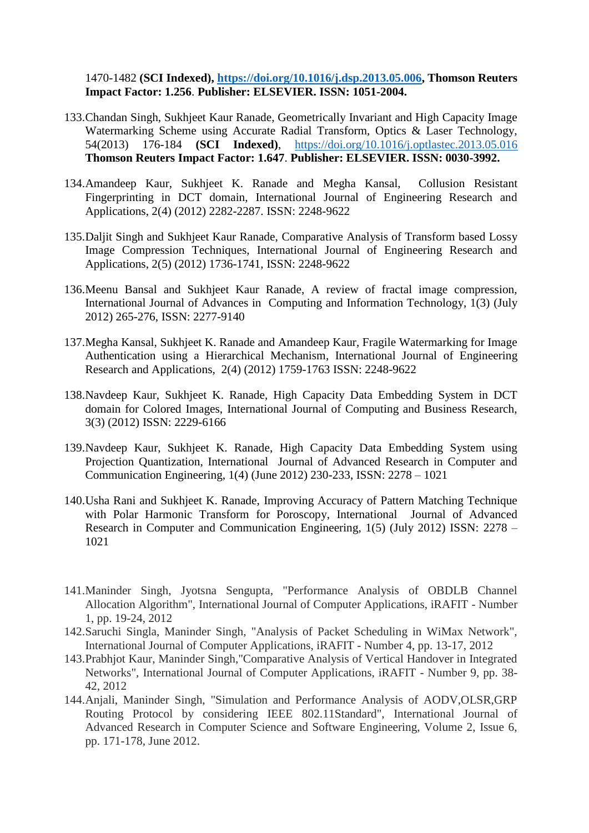1470-1482 **(SCI Indexed), [https://doi.org/10.1016/j.dsp.2013.05.006,](https://doi.org/10.1016/j.dsp.2013.05.006) Thomson Reuters Impact Factor: 1.256**. **Publisher: ELSEVIER. ISSN: 1051-2004.**

- 133.Chandan Singh, Sukhjeet Kaur Ranade, Geometrically Invariant and High Capacity Image Watermarking Scheme using Accurate Radial Transform, Optics & Laser Technology, 54(2013) 176-184 **(SCI Indexed)**, <https://doi.org/10.1016/j.optlastec.2013.05.016> **Thomson Reuters Impact Factor: 1.647**. **Publisher: ELSEVIER. ISSN: 0030-3992.**
- 134.Amandeep Kaur, Sukhjeet K. Ranade and Megha Kansal, Collusion Resistant Fingerprinting in DCT domain, International Journal of Engineering Research and Applications, 2(4) (2012) 2282-2287. ISSN: 2248-9622
- 135.Daljit Singh and Sukhjeet Kaur Ranade, Comparative Analysis of Transform based Lossy Image Compression Techniques, International Journal of Engineering Research and Applications, 2(5) (2012) 1736-1741, ISSN: 2248-9622
- 136.Meenu Bansal and Sukhjeet Kaur Ranade, A review of fractal image compression, International Journal of Advances in Computing and Information Technology, 1(3) (July 2012) 265-276, ISSN: 2277-9140
- 137.Megha Kansal, Sukhjeet K. Ranade and Amandeep Kaur, Fragile Watermarking for Image Authentication using a Hierarchical Mechanism, International Journal of Engineering Research and Applications, 2(4) (2012) 1759-1763 ISSN: 2248-9622
- 138.Navdeep Kaur, Sukhjeet K. Ranade, High Capacity Data Embedding System in DCT domain for Colored Images, International Journal of Computing and Business Research, 3(3) (2012) ISSN: 2229-6166
- 139.Navdeep Kaur, Sukhjeet K. Ranade, High Capacity Data Embedding System using Projection Quantization, International Journal of Advanced Research in Computer and Communication Engineering, 1(4) (June 2012) 230-233, ISSN: 2278 – 1021
- 140.Usha Rani and Sukhjeet K. Ranade, Improving Accuracy of Pattern Matching Technique with Polar Harmonic Transform for Poroscopy, International Journal of Advanced Research in Computer and Communication Engineering, 1(5) (July 2012) ISSN: 2278 – 1021
- 141.Maninder Singh, Jyotsna Sengupta, "Performance Analysis of OBDLB Channel Allocation Algorithm", International Journal of Computer Applications, iRAFIT - Number 1, pp. 19-24, 2012
- 142.Saruchi Singla, Maninder Singh, "Analysis of Packet Scheduling in WiMax Network", International Journal of Computer Applications, iRAFIT - Number 4, pp. 13-17, 2012
- 143.Prabhjot Kaur, Maninder Singh,"Comparative Analysis of Vertical Handover in Integrated Networks", International Journal of Computer Applications, iRAFIT - Number 9, pp. 38- 42, 2012
- 144.Anjali, Maninder Singh, "Simulation and Performance Analysis of AODV,OLSR,GRP Routing Protocol by considering IEEE 802.11Standard", International Journal of Advanced Research in Computer Science and Software Engineering, Volume 2, Issue 6, pp. 171-178, June 2012.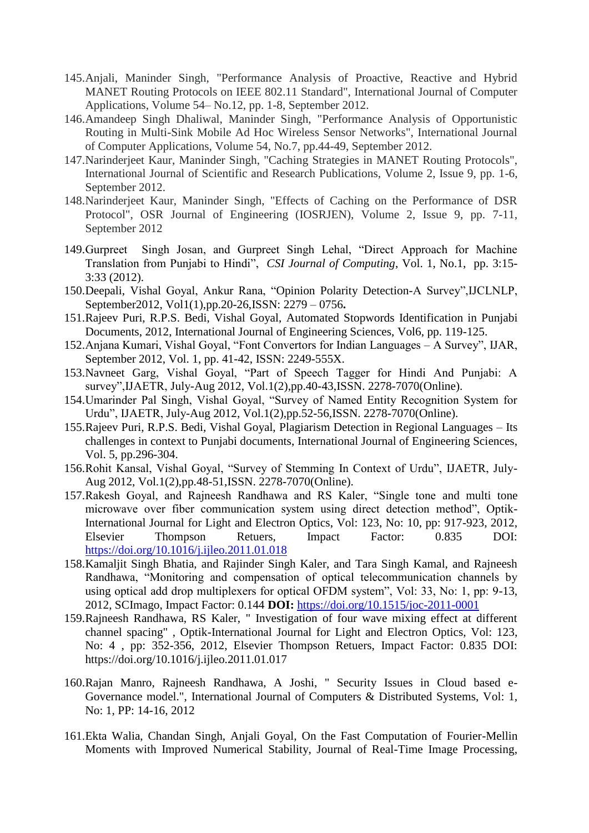- 145.Anjali, Maninder Singh, "Performance Analysis of Proactive, Reactive and Hybrid MANET Routing Protocols on IEEE 802.11 Standard", International Journal of Computer Applications, Volume 54– No.12, pp. 1-8, September 2012.
- 146.Amandeep Singh Dhaliwal, Maninder Singh, "Performance Analysis of Opportunistic Routing in Multi-Sink Mobile Ad Hoc Wireless Sensor Networks", International Journal of Computer Applications, Volume 54, No.7, pp.44-49, September 2012.
- 147.Narinderjeet Kaur, Maninder Singh, "Caching Strategies in MANET Routing Protocols", International Journal of Scientific and Research Publications, Volume 2, Issue 9, pp. 1-6, September 2012.
- 148.Narinderjeet Kaur, Maninder Singh, "Effects of Caching on the Performance of DSR Protocol", OSR Journal of Engineering (IOSRJEN), Volume 2, Issue 9, pp. 7-11, September 2012
- 149.Gurpreet Singh Josan, and Gurpreet Singh Lehal, "Direct Approach for Machine Translation from Punjabi to Hindi", *CSI Journal of Computing*, Vol. 1, No.1, pp. 3:15- 3:33 (2012).
- 150.Deepali, Vishal Goyal, Ankur Rana, "Opinion Polarity Detection-A Survey",IJCLNLP, September2012, Vol1(1),pp.20-26,ISSN: 2279 – 0756**.**
- 151.Rajeev Puri, R.P.S. Bedi, Vishal Goyal, [Automated Stopwords Identification in Punjabi](http://ijoes.vidyapublications.com/paper/Vol8/15-Vol8.pdf)  [Documents,](http://ijoes.vidyapublications.com/paper/Vol8/15-Vol8.pdf) 2012, International Journal of Engineering Sciences, Vol6, pp. 119-125.
- 152.Anjana Kumari, Vishal Goyal, "Font Convertors for Indian Languages A Survey", IJAR, September 2012, Vol. 1, pp. 41-42, ISSN: 2249-555X.
- 153.Navneet Garg, Vishal Goyal, "Part of Speech Tagger for Hindi And Punjabi: A survey",IJAETR, July-Aug 2012, Vol.1(2),pp.40-43,ISSN. 2278-7070(Online).
- 154.Umarinder Pal Singh, Vishal Goyal, "Survey of Named Entity Recognition System for Urdu", IJAETR, July-Aug 2012, Vol.1(2),pp.52-56,ISSN. 2278-7070(Online).
- 155.Rajeev Puri, R.P.S. Bedi, Vishal Goyal, [Plagiarism Detection in Regional Languages –](http://ijoes.vidyapublications.com/paper/Vol5/21-Vol5.pdf) Its [challenges in context to Punjabi documents,](http://ijoes.vidyapublications.com/paper/Vol5/21-Vol5.pdf) International Journal of Engineering Sciences, Vol. 5, pp.296-304.
- 156.Rohit Kansal, Vishal Goyal, "Survey of Stemming In Context of Urdu", IJAETR, July-Aug 2012, Vol.1(2),pp.48-51,ISSN. 2278-7070(Online).
- 157.Rakesh Goyal, and Rajneesh Randhawa and RS Kaler, "Single tone and multi tone microwave over fiber communication system using direct detection method", Optik-International Journal for Light and Electron Optics, Vol: 123, No: 10, pp: 917-923, 2012, Elsevier Thompson Retuers, Impact Factor: 0.835 DOI: <https://doi.org/10.1016/j.ijleo.2011.01.018>
- 158.Kamaljit Singh Bhatia, and Rajinder Singh Kaler, and Tara Singh Kamal, and Rajneesh Randhawa, "Monitoring and compensation of optical telecommunication channels by using optical add drop multiplexers for optical OFDM system", Vol: 33, No: 1, pp: 9-13, 2012, SCImago, Impact Factor: 0.144 **DOI:** <https://doi.org/10.1515/joc-2011-0001>
- 159.Rajneesh Randhawa, RS Kaler, " Investigation of four wave mixing effect at different channel spacing" , Optik-International Journal for Light and Electron Optics, Vol: 123, No: 4 , pp: 352-356, 2012, Elsevier Thompson Retuers, Impact Factor: 0.835 DOI: <https://doi.org/10.1016/j.ijleo.2011.01.017>
- 160.Rajan Manro, Rajneesh Randhawa, A Joshi, " Security Issues in Cloud based e-Governance model.", International Journal of Computers & Distributed Systems, Vol: 1, No: 1, PP: 14-16, 2012
- 161.Ekta Walia, Chandan Singh, Anjali Goyal, On the Fast Computation of Fourier-Mellin Moments with Improved Numerical Stability, Journal of Real-Time Image Processing,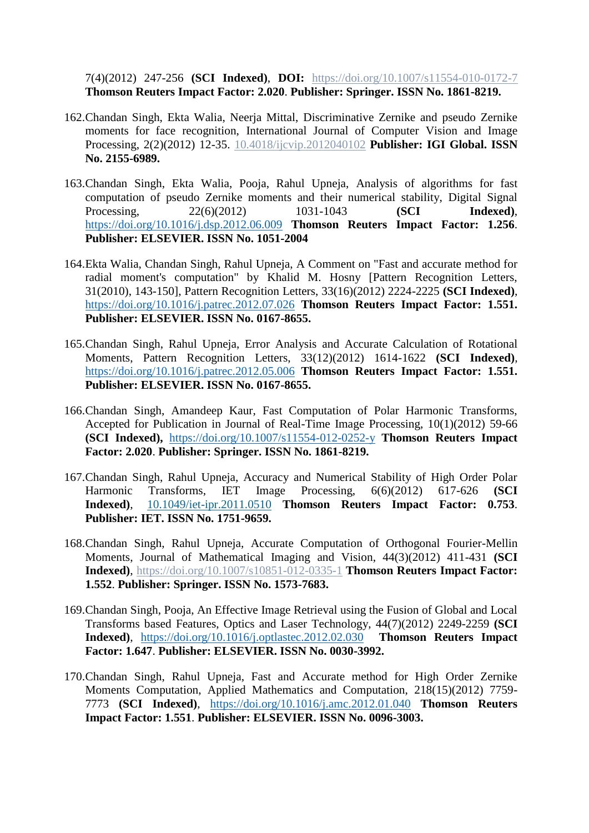7(4)(2012) 247-256 **(SCI Indexed)**, **DOI:** https://doi.org/10.1007/s11554-010-0172-7 **Thomson Reuters Impact Factor: 2.020**. **Publisher: Springer. ISSN No. 1861-8219.**

- 162.Chandan Singh, Ekta Walia, Neerja Mittal, Discriminative Zernike and pseudo Zernike moments for face recognition, International Journal of Computer Vision and Image Processing, 2(2)(2012) 12-35. [10.4018/ijcvip.2012040102](https://doi.org/10.4018/ijcvip.2012040102) **Publisher: IGI Global. ISSN No. 2155-6989.**
- 163.Chandan Singh, Ekta Walia, Pooja, Rahul Upneja, Analysis of algorithms for fast computation of pseudo Zernike moments and their numerical stability, Digital Signal Processing, 22(6)(2012) 1031-1043 **(SCI Indexed)**, <https://doi.org/10.1016/j.dsp.2012.06.009> **Thomson Reuters Impact Factor: 1.256**. **Publisher: ELSEVIER. ISSN No. 1051-2004**
- 164.Ekta Walia, Chandan Singh, Rahul Upneja, A Comment on "Fast and accurate method for radial moment's computation" by Khalid M. Hosny [Pattern Recognition Letters, 31(2010), 143-150], Pattern Recognition Letters, 33(16)(2012) 2224-2225 **(SCI Indexed)**, <https://doi.org/10.1016/j.patrec.2012.07.026> **Thomson Reuters Impact Factor: 1.551. Publisher: ELSEVIER. ISSN No. 0167-8655.**
- 165.Chandan Singh, Rahul Upneja, Error Analysis and Accurate Calculation of Rotational Moments, Pattern Recognition Letters, 33(12)(2012) 1614-1622 **(SCI Indexed)**, <https://doi.org/10.1016/j.patrec.2012.05.006> **Thomson Reuters Impact Factor: 1.551. Publisher: ELSEVIER. ISSN No. 0167-8655.**
- 166.Chandan Singh, Amandeep Kaur, Fast Computation of Polar Harmonic Transforms, Accepted for Publication in Journal of Real-Time Image Processing, 10(1)(2012) 59-66 **(SCI Indexed),** <https://doi.org/10.1007/s11554-012-0252-y> **Thomson Reuters Impact Factor: 2.020**. **Publisher: Springer. ISSN No. 1861-8219.**
- 167.Chandan Singh, Rahul Upneja, Accuracy and Numerical Stability of High Order Polar Harmonic Transforms, IET Image Processing, 6(6)(2012) 617-626 **(SCI Indexed)**, [10.1049/iet-ipr.2011.0510](https://doi.org/10.1049/iet-ipr.2011.0510) **Thomson Reuters Impact Factor: 0.753**. **Publisher: IET. ISSN No. 1751-9659.**
- 168.Chandan Singh, Rahul Upneja, Accurate Computation of Orthogonal Fourier-Mellin Moments, Journal of Mathematical Imaging and Vision, 44(3)(2012) 411-431 **(SCI Indexed)**, https://doi.org/10.1007/s10851-012-0335-1 **Thomson Reuters Impact Factor: 1.552**. **Publisher: Springer. ISSN No. 1573-7683.**
- 169.Chandan Singh, Pooja, An Effective Image Retrieval using the Fusion of Global and Local Transforms based Features, Optics and Laser Technology, 44(7)(2012) 2249-2259 **(SCI Indexed)**, <https://doi.org/10.1016/j.optlastec.2012.02.030>**Thomson Reuters Impact Factor: 1.647**. **Publisher: ELSEVIER. ISSN No. 0030-3992.**
- 170.Chandan Singh, Rahul Upneja, Fast and Accurate method for High Order Zernike Moments Computation, Applied Mathematics and Computation, 218(15)(2012) 7759- 7773 **(SCI Indexed)**, <https://doi.org/10.1016/j.amc.2012.01.040> **Thomson Reuters Impact Factor: 1.551**. **Publisher: ELSEVIER. ISSN No. 0096-3003.**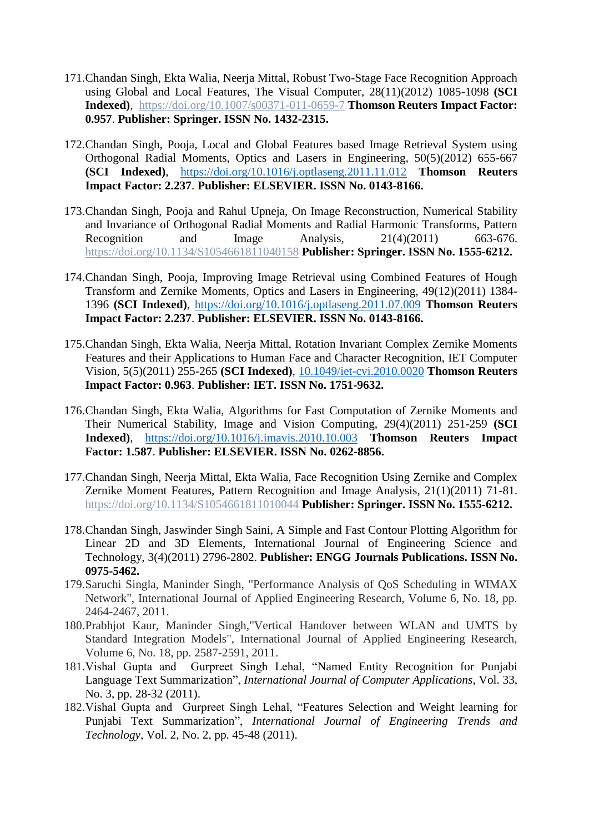- 171.Chandan Singh, Ekta Walia, Neerja Mittal, Robust Two-Stage Face Recognition Approach using Global and Local Features, The Visual Computer, 28(11)(2012) 1085-1098 **(SCI Indexed)**, https://doi.org/10.1007/s00371-011-0659-7 **Thomson Reuters Impact Factor: 0.957**. **Publisher: Springer. ISSN No. 1432-2315.**
- 172.Chandan Singh, Pooja, Local and Global Features based Image Retrieval System using Orthogonal Radial Moments, Optics and Lasers in Engineering, 50(5)(2012) 655-667 **(SCI Indexed)**, <https://doi.org/10.1016/j.optlaseng.2011.11.012> **Thomson Reuters Impact Factor: 2.237**. **Publisher: ELSEVIER. ISSN No. 0143-8166.**
- 173.Chandan Singh, Pooja and Rahul Upneja, On Image Reconstruction, Numerical Stability and Invariance of Orthogonal Radial Moments and Radial Harmonic Transforms, Pattern Recognition and Image Analysis,  $21(4)(2011)$  663-676. https://doi.org/10.1134/S1054661811040158 **Publisher: Springer. ISSN No. 1555-6212.**
- 174.Chandan Singh, Pooja, Improving Image Retrieval using Combined Features of Hough Transform and Zernike Moments, Optics and Lasers in Engineering, 49(12)(2011) 1384- 1396 **(SCI Indexed)**, <https://doi.org/10.1016/j.optlaseng.2011.07.009> **Thomson Reuters Impact Factor: 2.237**. **Publisher: ELSEVIER. ISSN No. 0143-8166.**
- 175.Chandan Singh, Ekta Walia, Neerja Mittal, Rotation Invariant Complex Zernike Moments Features and their Applications to Human Face and Character Recognition, IET Computer Vision, 5(5)(2011) 255-265 **(SCI Indexed)**, [10.1049/iet-cvi.2010.0020](https://doi.org/10.1049/iet-cvi.2010.0020) **Thomson Reuters Impact Factor: 0.963**. **Publisher: IET. ISSN No. 1751-9632.**
- 176.Chandan Singh, Ekta Walia, Algorithms for Fast Computation of Zernike Moments and Their Numerical Stability, Image and Vision Computing, 29(4)(2011) 251-259 **(SCI Indexed)**, <https://doi.org/10.1016/j.imavis.2010.10.003> **Thomson Reuters Impact Factor: 1.587**. **Publisher: ELSEVIER. ISSN No. 0262-8856.**
- 177.Chandan Singh, Neerja Mittal, Ekta Walia, Face Recognition Using Zernike and Complex Zernike Moment Features, Pattern Recognition and Image Analysis, 21(1)(2011) 71-81. https://doi.org/10.1134/S1054661811010044 **Publisher: Springer. ISSN No. 1555-6212.**
- 178.Chandan Singh, Jaswinder Singh Saini, A Simple and Fast Contour Plotting Algorithm for Linear 2D and 3D Elements, International Journal of Engineering Science and Technology, 3(4)(2011) 2796-2802. **Publisher: ENGG Journals Publications. ISSN No. 0975-5462.**
- 179.Saruchi Singla, Maninder Singh, "Performance Analysis of QoS Scheduling in WIMAX Network", International Journal of Applied Engineering Research, Volume 6, No. 18, pp. 2464-2467, 2011.
- 180.Prabhjot Kaur, Maninder Singh,"Vertical Handover between WLAN and UMTS by Standard Integration Models", International Journal of Applied Engineering Research, Volume 6, No. 18, pp. 2587-2591, 2011.
- 181.Vishal Gupta and Gurpreet Singh Lehal, "Named Entity Recognition for Punjabi Language Text Summarization", *International Journal of Computer Applications*, Vol. 33, No. 3, pp. 28-32 (2011).
- 182.Vishal Gupta and Gurpreet Singh Lehal, "Features Selection and Weight learning for Punjabi Text Summarization", *International Journal of Engineering Trends and Technology,* Vol. 2, No. 2, pp. 45-48 (2011).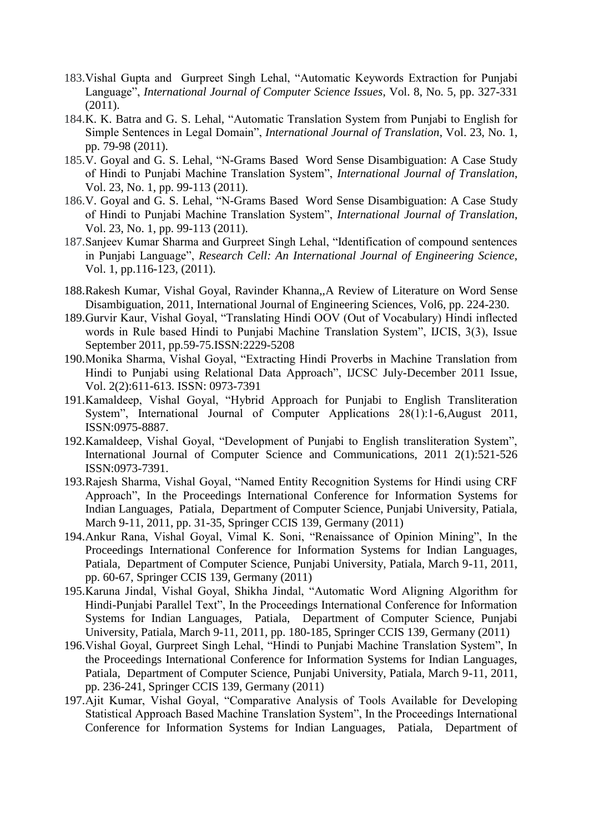- 183.Vishal Gupta and Gurpreet Singh Lehal, "Automatic Keywords Extraction for Punjabi Language", *International Journal of Computer Science Issues*, Vol. 8, No. 5, pp. 327-331  $(2011)$ .
- 184.K. K. Batra and G. S. Lehal, "Automatic Translation System from Punjabi to English for Simple Sentences in Legal Domain", *International Journal of Translation*, Vol. 23, No. 1, pp. 79-98 (2011).
- 185.V. Goyal and G. S. Lehal, "N-Grams Based Word Sense Disambiguation: A Case Study of Hindi to Punjabi Machine Translation System", *International Journal of Translation*, Vol. 23, No. 1, pp. 99-113 (2011).
- 186.V. Goyal and G. S. Lehal, "N-Grams Based Word Sense Disambiguation: A Case Study of Hindi to Punjabi Machine Translation System", *International Journal of Translation*, Vol. 23, No. 1, pp. 99-113 (2011).
- 187.Sanjeev Kumar Sharma and Gurpreet Singh Lehal, "Identification of compound sentences in Punjabi Language", *Research Cell: An International Journal of Engineering Science*, Vol. 1, pp.116-123, (2011).
- 188.Rakesh Kumar, Vishal Goyal, Ravinder Khanna,[,A Review of Literature on Word Sense](http://ijoes.vidyapublications.com/paper/Vol6/16-Vol6.pdf)  [Disambiguation,](http://ijoes.vidyapublications.com/paper/Vol6/16-Vol6.pdf) 2011, International Journal of Engineering Sciences, Vol6, pp. 224-230.
- 189.Gurvir Kaur, Vishal Goyal, "Translating Hindi OOV (Out of Vocabulary) Hindi inflected words in Rule based Hindi to Punjabi Machine Translation System", IJCIS, 3(3), Issue September 2011, pp.59-75.ISSN:2229-5208
- 190.Monika Sharma, Vishal Goyal, "Extracting Hindi Proverbs in Machine Translation from Hindi to Punjabi using Relational Data Approach", IJCSC July-December 2011 Issue, Vol. 2(2):611-613. ISSN: 0973-7391
- 191.Kamaldeep, Vishal Goyal, "Hybrid Approach for Punjabi to English Transliteration System", International Journal of Computer Applications 28(1):1-6,August 2011, ISSN:0975-8887.
- 192.Kamaldeep, Vishal Goyal, "Development of Punjabi to English transliteration System", International Journal of Computer Science and Communications, 2011 2(1):521-526 ISSN:0973-7391.
- 193.Rajesh Sharma, Vishal Goyal, "Named Entity Recognition Systems for Hindi using CRF Approach", In the Proceedings International Conference for Information Systems for Indian Languages, Patiala, Department of Computer Science, Punjabi University, Patiala, March 9-11, 2011, pp. 31-35, Springer CCIS 139, Germany (2011)
- 194.Ankur Rana, Vishal Goyal, Vimal K. Soni, "Renaissance of Opinion Mining", In the Proceedings International Conference for Information Systems for Indian Languages, Patiala, Department of Computer Science, Punjabi University, Patiala, March 9-11, 2011, pp. 60-67, Springer CCIS 139, Germany (2011)
- 195.Karuna Jindal, Vishal Goyal, Shikha Jindal, "Automatic Word Aligning Algorithm for Hindi-Punjabi Parallel Text", In the Proceedings International Conference for Information Systems for Indian Languages, Patiala, Department of Computer Science, Punjabi University, Patiala, March 9-11, 2011, pp. 180-185, Springer CCIS 139, Germany (2011)
- 196.Vishal Goyal, Gurpreet Singh Lehal, "Hindi to Punjabi Machine Translation System", In the Proceedings International Conference for Information Systems for Indian Languages, Patiala, Department of Computer Science, Punjabi University, Patiala, March 9-11, 2011, pp. 236-241, Springer CCIS 139, Germany (2011)
- 197.Ajit Kumar, Vishal Goyal, "Comparative Analysis of Tools Available for Developing Statistical Approach Based Machine Translation System", In the Proceedings International Conference for Information Systems for Indian Languages, Patiala, Department of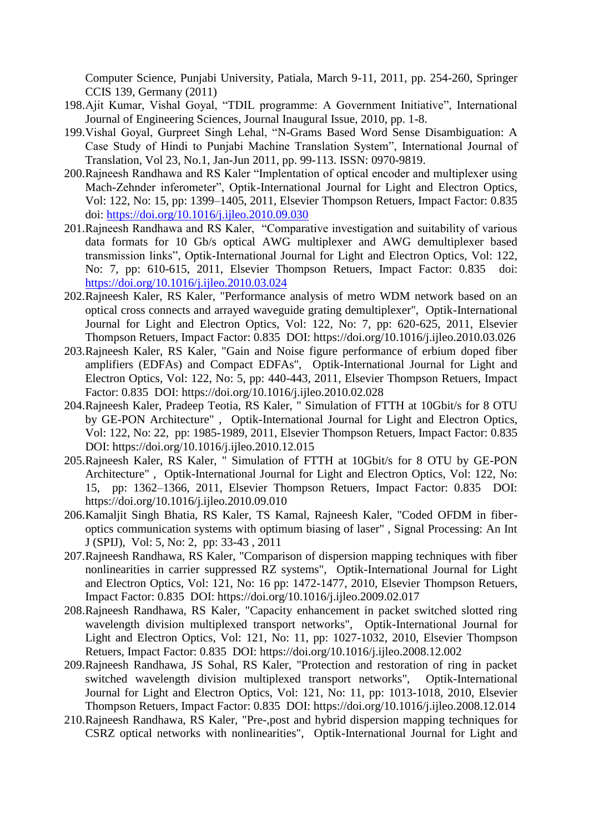Computer Science, Punjabi University, Patiala, March 9-11, 2011, pp. 254-260, Springer CCIS 139, Germany (2011)

- 198.Ajit Kumar, Vishal Goyal, "TDIL programme: A Government Initiative", International Journal of Engineering Sciences, Journal Inaugural Issue, 2010, pp. 1-8.
- 199.Vishal Goyal, Gurpreet Singh Lehal, "N-Grams Based Word Sense Disambiguation: A Case Study of Hindi to Punjabi Machine Translation System", International Journal of Translation, Vol 23, No.1, Jan-Jun 2011, pp. 99-113. ISSN: 0970-9819.
- 200.Rajneesh Randhawa and RS Kaler "Implentation of optical encoder and multiplexer using Mach-Zehnder inferometer", Optik-International Journal for Light and Electron Optics, Vol: 122, No: 15, pp: 1399–1405, 2011, Elsevier Thompson Retuers, Impact Factor: 0.835 doi:<https://doi.org/10.1016/j.ijleo.2010.09.030>
- 201.Rajneesh Randhawa and RS Kaler, "Comparative investigation and suitability of various data formats for 10 Gb/s optical AWG multiplexer and AWG demultiplexer based transmission links", Optik-International Journal for Light and Electron Optics, Vol: 122, No: 7, pp: 610-615, 2011, Elsevier Thompson Retuers, Impact Factor: 0.835 doi: <https://doi.org/10.1016/j.ijleo.2010.03.024>
- 202.Rajneesh Kaler, RS Kaler, "Performance analysis of metro WDM network based on an optical cross connects and arrayed waveguide grating demultiplexer", Optik-International Journal for Light and Electron Optics, Vol: 122, No: 7, pp: 620-625, 2011, Elsevier Thompson Retuers, Impact Factor: 0.835 DOI:<https://doi.org/10.1016/j.ijleo.2010.03.026>
- 203.Rajneesh Kaler, RS Kaler, "Gain and Noise figure performance of erbium doped fiber amplifiers (EDFAs) and Compact EDFAs", Optik-International Journal for Light and Electron Optics, Vol: 122, No: 5, pp: 440-443, 2011, Elsevier Thompson Retuers, Impact Factor: 0.835 DOI:<https://doi.org/10.1016/j.ijleo.2010.02.028>
- 204.Rajneesh Kaler, Pradeep Teotia, RS Kaler, " Simulation of FTTH at 10Gbit/s for 8 OTU by GE-PON Architecture" , Optik-International Journal for Light and Electron Optics, Vol: 122, No: 22, pp: 1985-1989, 2011, Elsevier Thompson Retuers, Impact Factor: 0.835 DOI:<https://doi.org/10.1016/j.ijleo.2010.12.015>
- 205.Rajneesh Kaler, RS Kaler, " Simulation of FTTH at 10Gbit/s for 8 OTU by GE-PON Architecture" , Optik-International Journal for Light and Electron Optics, Vol: 122, No: 15, pp: 1362–1366, 2011, Elsevier Thompson Retuers, Impact Factor: 0.835 DOI: <https://doi.org/10.1016/j.ijleo.2010.09.010>
- 206.Kamaljit Singh Bhatia, RS Kaler, TS Kamal, Rajneesh Kaler, "Coded OFDM in fiberoptics communication systems with optimum biasing of laser" , Signal Processing: An Int J (SPIJ), Vol: 5, No: 2, pp: 33-43 , 2011
- 207.Rajneesh Randhawa, RS Kaler, "Comparison of dispersion mapping techniques with fiber nonlinearities in carrier suppressed RZ systems", Optik-International Journal for Light and Electron Optics, Vol: 121, No: 16 pp: 1472-1477, 2010, Elsevier Thompson Retuers, Impact Factor: 0.835 DOI:<https://doi.org/10.1016/j.ijleo.2009.02.017>
- 208.Rajneesh Randhawa, RS Kaler, "Capacity enhancement in packet switched slotted ring wavelength division multiplexed transport networks", Optik-International Journal for Light and Electron Optics, Vol: 121, No: 11, pp: 1027-1032, 2010, Elsevier Thompson Retuers, Impact Factor: 0.835 DOI:<https://doi.org/10.1016/j.ijleo.2008.12.002>
- 209.Rajneesh Randhawa, JS Sohal, RS Kaler, "Protection and restoration of ring in packet switched wavelength division multiplexed transport networks", Optik-International Journal for Light and Electron Optics, Vol: 121, No: 11, pp: 1013-1018, 2010, Elsevier Thompson Retuers, Impact Factor: 0.835 DOI:<https://doi.org/10.1016/j.ijleo.2008.12.014>
- 210.Rajneesh Randhawa, RS Kaler, "Pre-,post and hybrid dispersion mapping techniques for CSRZ optical networks with nonlinearities", Optik-International Journal for Light and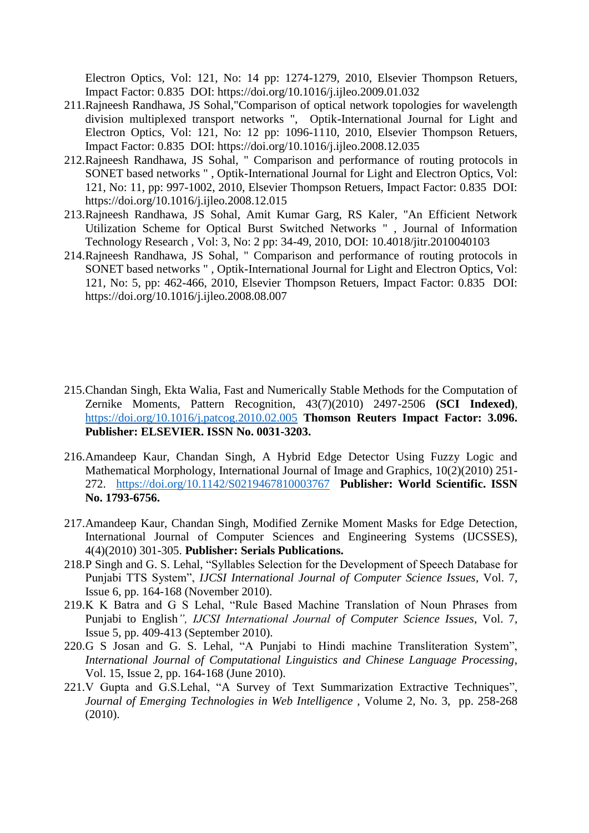Electron Optics, Vol: 121, No: 14 pp: 1274-1279, 2010, Elsevier Thompson Retuers, Impact Factor: 0.835 DOI:<https://doi.org/10.1016/j.ijleo.2009.01.032>

- 211.Rajneesh Randhawa, JS Sohal,"Comparison of optical network topologies for wavelength division multiplexed transport networks ", Optik-International Journal for Light and Electron Optics, Vol: 121, No: 12 pp: 1096-1110, 2010, Elsevier Thompson Retuers, Impact Factor: 0.835 DOI:<https://doi.org/10.1016/j.ijleo.2008.12.035>
- 212.Rajneesh Randhawa, JS Sohal, " Comparison and performance of routing protocols in SONET based networks " , Optik-International Journal for Light and Electron Optics, Vol: 121, No: 11, pp: 997-1002, 2010, Elsevier Thompson Retuers, Impact Factor: 0.835 DOI: <https://doi.org/10.1016/j.ijleo.2008.12.015>
- 213.Rajneesh Randhawa, JS Sohal, Amit Kumar Garg, RS Kaler, "An Efficient Network Utilization Scheme for Optical Burst Switched Networks " , Journal of Information Technology Research , Vol: 3, No: 2 pp: 34-49, 2010, DOI: 10.4018/jitr.2010040103
- 214.Rajneesh Randhawa, JS Sohal, " Comparison and performance of routing protocols in SONET based networks " , Optik-International Journal for Light and Electron Optics, Vol: 121, No: 5, pp: 462-466, 2010, Elsevier Thompson Retuers, Impact Factor: 0.835 DOI: <https://doi.org/10.1016/j.ijleo.2008.08.007>
- 215.Chandan Singh, Ekta Walia, Fast and Numerically Stable Methods for the Computation of Zernike Moments, Pattern Recognition, 43(7)(2010) 2497-2506 **(SCI Indexed)**, <https://doi.org/10.1016/j.patcog.2010.02.005> **Thomson Reuters Impact Factor: 3.096. Publisher: ELSEVIER. ISSN No. 0031-3203.**
- 216.Amandeep Kaur, Chandan Singh, A Hybrid Edge Detector Using Fuzzy Logic and Mathematical Morphology, International Journal of Image and Graphics, 10(2)(2010) 251- 272. <https://doi.org/10.1142/S0219467810003767> **Publisher: World Scientific. ISSN No. 1793-6756.**
- 217.Amandeep Kaur, Chandan Singh, Modified Zernike Moment Masks for Edge Detection, International Journal of Computer Sciences and Engineering Systems (IJCSSES), 4(4)(2010) 301-305. **Publisher: Serials Publications.**
- 218.P Singh and G. S. Lehal, "Syllables Selection for the Development of Speech Database for Punjabi TTS System", *IJCSI International Journal of Computer Science Issues*, Vol. 7, Issue 6, pp. 164-168 (November 2010).
- 219.K K Batra and G S Lehal, "Rule Based Machine Translation of Noun Phrases from Punjabi to English*", IJCSI International Journal of Computer Science Issues*, Vol. 7, Issue 5, pp. 409-413 (September 2010).
- 220.G S Josan and G. S. Lehal, "A Punjabi to Hindi machine Transliteration System", *International Journal of Computational Linguistics and Chinese Language Processing*, Vol. 15, Issue 2, pp. 164-168 (June 2010).
- 221.V Gupta and G.S.Lehal, "A Survey of Text Summarization Extractive Techniques", *Journal of Emerging Technologies in Web Intelligence* , Volume 2, No. 3, pp. 258-268 (2010).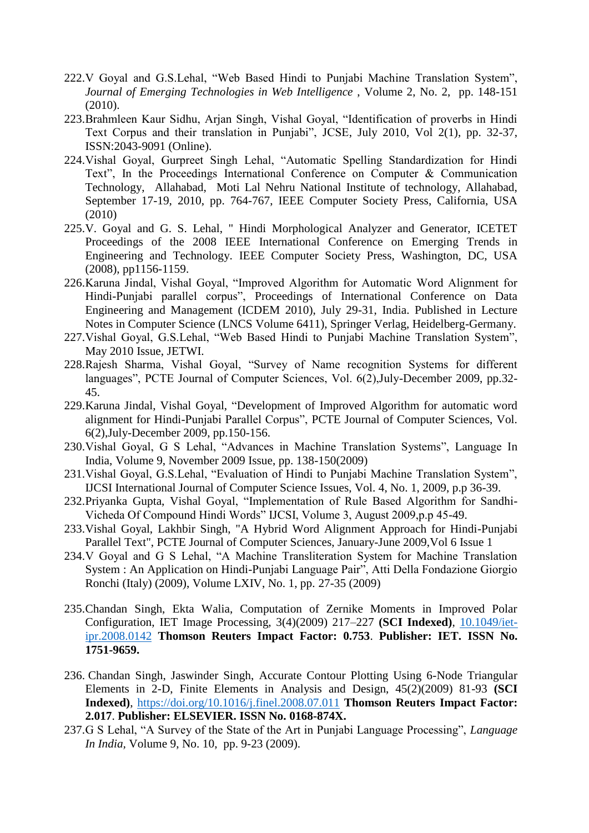- 222.V Goyal and G.S.Lehal, "Web Based Hindi to Punjabi Machine Translation System", *Journal of Emerging Technologies in Web Intelligence* , Volume 2, No. 2, pp. 148-151  $(2010)$ .
- 223.Brahmleen Kaur Sidhu, Arjan Singh, Vishal Goyal, "Identification of proverbs in Hindi Text Corpus and their translation in Punjabi", JCSE, July 2010, Vol 2(1), pp. 32-37, ISSN:2043-9091 (Online).
- 224.Vishal Goyal, Gurpreet Singh Lehal, "Automatic Spelling Standardization for Hindi Text", In the Proceedings International Conference on Computer & Communication Technology, Allahabad, Moti Lal Nehru National Institute of technology, Allahabad, September 17-19, 2010, pp. 764-767, IEEE Computer Society Press, California, USA (2010)
- 225.V. Goyal and G. S. Lehal, " Hindi Morphological Analyzer and Generator, ICETET Proceedings of the 2008 IEEE International Conference on Emerging Trends in Engineering and Technology. IEEE Computer Society Press, Washington, DC, USA (2008), pp1156-1159.
- 226.Karuna Jindal, Vishal Goyal, "Improved Algorithm for Automatic Word Alignment for Hindi-Punjabi parallel corpus", Proceedings of International Conference on Data Engineering and Management (ICDEM 2010), July 29-31, India. Published in Lecture Notes in Computer Science (LNCS Volume 6411), Springer Verlag, Heidelberg-Germany.
- 227.Vishal Goyal, G.S.Lehal, "Web Based Hindi to Punjabi Machine Translation System", May 2010 Issue, JETWI.
- 228.Rajesh Sharma, Vishal Goyal, "Survey of Name recognition Systems for different languages", PCTE Journal of Computer Sciences, Vol. 6(2),July-December 2009, pp.32- 45.
- 229.Karuna Jindal, Vishal Goyal, "Development of Improved Algorithm for automatic word alignment for Hindi-Punjabi Parallel Corpus", PCTE Journal of Computer Sciences, Vol. 6(2),July-December 2009, pp.150-156.
- 230.Vishal Goyal, G S Lehal, "Advances in Machine Translation Systems", Language In India, Volume 9, November 2009 Issue, pp. 138-150(2009)
- 231.Vishal Goyal, G.S.Lehal, "Evaluation of Hindi to Punjabi Machine Translation System", IJCSI International Journal of Computer Science Issues, Vol. 4, No. 1, 2009, p.p 36-39.
- 232.Priyanka Gupta, Vishal Goyal, "Implementation of Rule Based Algorithm for Sandhi-Vicheda Of Compound Hindi Words" IJCSI, Volume 3, August 2009,p.p 45-49.
- 233.Vishal Goyal, Lakhbir Singh, "A Hybrid Word Alignment Approach for Hindi-Punjabi Parallel Text", PCTE Journal of Computer Sciences, January-June 2009,Vol 6 Issue 1
- 234.V Goyal and G S Lehal, "A Machine Transliteration System for Machine Translation System : An Application on Hindi-Punjabi Language Pair", Atti Della Fondazione Giorgio Ronchi (Italy) (2009), Volume LXIV, No. 1, pp. 27-35 (2009)
- 235.Chandan Singh, Ekta Walia, Computation of Zernike Moments in Improved Polar Configuration, IET Image Processing, 3(4)(2009) 217–227 **(SCI Indexed)**, [10.1049/iet](https://doi.org/10.1049/iet-ipr.2008.0142)[ipr.2008.0142](https://doi.org/10.1049/iet-ipr.2008.0142) **Thomson Reuters Impact Factor: 0.753**. **Publisher: IET. ISSN No. 1751-9659.**
- 236. Chandan Singh, Jaswinder Singh, Accurate Contour Plotting Using 6-Node Triangular Elements in 2-D, Finite Elements in Analysis and Design, 45(2)(2009) 81-93 **(SCI Indexed)**, <https://doi.org/10.1016/j.finel.2008.07.011> **Thomson Reuters Impact Factor: 2.017**. **Publisher: ELSEVIER. ISSN No. 0168-874X.**
- 237.G S Lehal, "A Survey of the State of the Art in Punjabi Language Processing", *Language In India,* Volume 9, No. 10, pp. 9-23 (2009).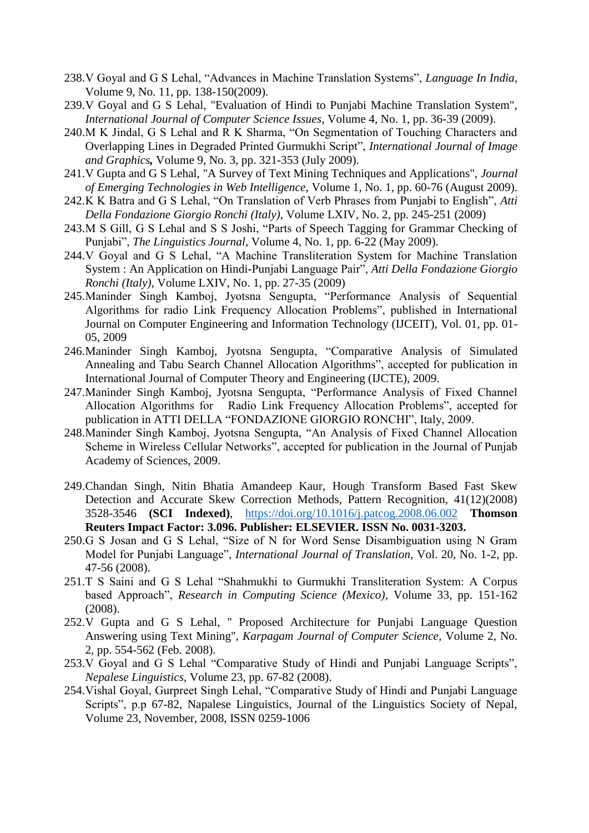- 238.V Goyal and G S Lehal, "Advances in Machine Translation Systems", *Language In India,* Volume 9, No. 11, pp. 138-150(2009).
- 239.V Goyal and G S Lehal, "Evaluation of Hindi to Punjabi Machine Translation System", *International Journal of Computer Science Issues*, Volume 4, No. 1, pp. 36-39 (2009).
- 240.M K Jindal, G S Lehal and R K Sharma, "On Segmentation of Touching Characters and Overlapping Lines in Degraded Printed Gurmukhi Script", *International Journal of Image and Graphics,* Volume 9, No. 3, pp. 321-353 (July 2009).
- 241.V Gupta and G S Lehal, "A Survey of Text Mining Techniques and Applications", *Journal of Emerging Technologies in Web Intelligence*, Volume 1, No. 1, pp. 60-76 (August 2009).
- 242.K K Batra and G S Lehal, "On Translation of Verb Phrases from Punjabi to English", *Atti Della Fondazione Giorgio Ronchi (Italy)*, Volume LXIV, No. 2, pp. 245-251 (2009)
- 243.M S Gill, G S Lehal and S S Joshi, "Parts of Speech Tagging for Grammar Checking of Punjabi", *The Linguistics Journal*, Volume 4, No. 1, pp. 6-22 (May 2009).
- 244.V Goyal and G S Lehal, "A Machine Transliteration System for Machine Translation System : An Application on Hindi-Punjabi Language Pair", *Atti Della Fondazione Giorgio Ronchi (Italy)*, Volume LXIV, No. 1, pp. 27-35 (2009)
- 245.Maninder Singh Kamboj, Jyotsna Sengupta, "Performance Analysis of Sequential Algorithms for radio Link Frequency Allocation Problems", published in International Journal on Computer Engineering and Information Technology (IJCEIT), Vol. 01, pp. 01- 05, 2009
- 246.Maninder Singh Kamboj, Jyotsna Sengupta, "Comparative Analysis of Simulated Annealing and Tabu Search Channel Allocation Algorithms", accepted for publication in International Journal of Computer Theory and Engineering (IJCTE), 2009.
- 247.Maninder Singh Kamboj, Jyotsna Sengupta, "Performance Analysis of Fixed Channel Allocation Algorithms for Radio Link Frequency Allocation Problems", accepted for publication in ATTI DELLA "FONDAZIONE GIORGIO RONCHI", Italy, 2009.
- 248.Maninder Singh Kamboj, Jyotsna Sengupta, "An Analysis of Fixed Channel Allocation Scheme in Wireless Cellular Networks", accepted for publication in the Journal of Punjab Academy of Sciences, 2009.
- 249.Chandan Singh, Nitin Bhatia Amandeep Kaur, Hough Transform Based Fast Skew Detection and Accurate Skew Correction Methods, Pattern Recognition, 41(12)(2008) 3528-3546 **(SCI Indexed)**, <https://doi.org/10.1016/j.patcog.2008.06.002> **Thomson Reuters Impact Factor: 3.096. Publisher: ELSEVIER. ISSN No. 0031-3203.**
- 250.G S Josan and G S Lehal, "Size of N for Word Sense Disambiguation using N Gram Model for Punjabi Language", *International Journal of Translation*, Vol. 20, No. 1-2, pp. 47-56 (2008).
- 251.T S Saini and G S Lehal "Shahmukhi to Gurmukhi Transliteration System: A Corpus based Approach", *Research in Computing Science (Mexico),* Volume 33, pp. 151-162 (2008).
- 252.V Gupta and G S Lehal, " Proposed Architecture for Punjabi Language Question Answering using Text Mining", *Karpagam Journal of Computer Science*, Volume 2, No. 2, pp. 554-562 (Feb. 2008).
- 253.V Goyal and G S Lehal "Comparative Study of Hindi and Punjabi Language Scripts", *Nepalese Linguistics,* Volume 23, pp. 67-82 (2008).
- 254.Vishal Goyal, Gurpreet Singh Lehal, "Comparative Study of Hindi and Punjabi Language Scripts", p.p 67-82, Napalese Linguistics, Journal of the Linguistics Society of Nepal, Volume 23, November, 2008, ISSN 0259-1006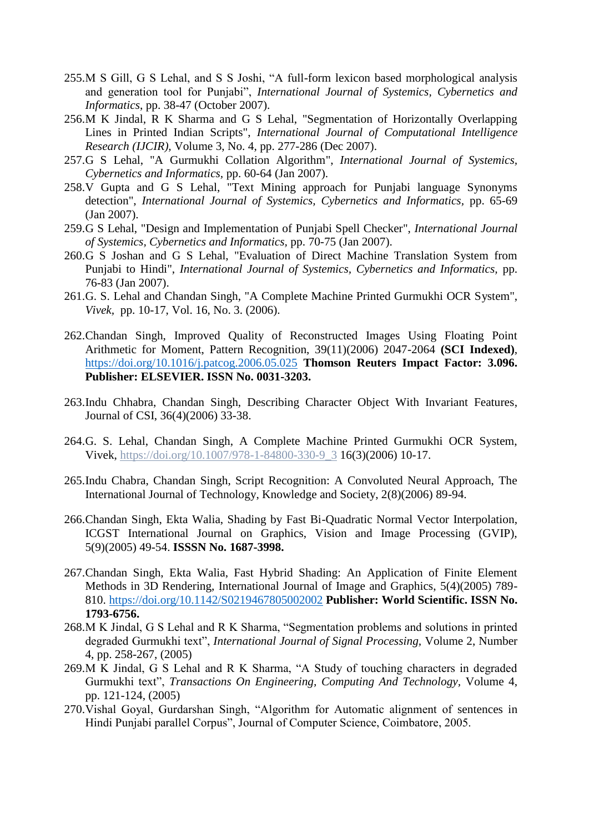- 255.M S Gill, G S Lehal, and S S Joshi, "A full-form lexicon based morphological analysis and generation tool for Punjabi", *International Journal of Systemics, Cybernetics and Informatics*, pp. 38-47 (October 2007).
- 256.M K Jindal, R K Sharma and G S Lehal, "Segmentation of Horizontally Overlapping Lines in Printed Indian Scripts", *International Journal of Computational Intelligence Research (IJCIR),* Volume 3, No. 4, pp. 277-286 (Dec 2007).
- 257.G S Lehal, "A Gurmukhi Collation Algorithm", *International Journal of Systemics, Cybernetics and Informatics,* pp. 60-64 (Jan 2007).
- 258.V Gupta and G S Lehal, "Text Mining approach for Punjabi language Synonyms detection", *International Journal of Systemics, Cybernetics and Informatics,* pp. 65-69 (Jan 2007).
- 259.G S Lehal, "Design and Implementation of Punjabi Spell Checker", *International Journal of Systemics, Cybernetics and Informatics,* pp. 70-75 (Jan 2007).
- 260.G S Joshan and G S Lehal, "Evaluation of Direct Machine Translation System from Punjabi to Hindi", *International Journal of Systemics, Cybernetics and Informatics,* pp. 76-83 (Jan 2007).
- 261.G. S. Lehal and Chandan Singh, "A Complete Machine Printed Gurmukhi OCR System", *Vivek,* pp. 10-17, Vol. 16, No. 3. (2006).
- 262.Chandan Singh, Improved Quality of Reconstructed Images Using Floating Point Arithmetic for Moment, Pattern Recognition, 39(11)(2006) 2047-2064 **(SCI Indexed)**, <https://doi.org/10.1016/j.patcog.2006.05.025> **Thomson Reuters Impact Factor: 3.096. Publisher: ELSEVIER. ISSN No. 0031-3203.**
- 263.Indu Chhabra, Chandan Singh, Describing Character Object With Invariant Features, Journal of CSI, 36(4)(2006) 33-38.
- 264.G. S. Lehal, Chandan Singh, A Complete Machine Printed Gurmukhi OCR System, Vivek, https://doi.org/10.1007/978-1-84800-330-9\_3 16(3)(2006) 10-17.
- 265.Indu Chabra, Chandan Singh, Script Recognition: A Convoluted Neural Approach, The International Journal of Technology, Knowledge and Society, 2(8)(2006) 89-94.
- 266.Chandan Singh, Ekta Walia, Shading by Fast Bi-Quadratic Normal Vector Interpolation, ICGST International Journal on Graphics, Vision and Image Processing (GVIP), 5(9)(2005) 49-54. **ISSSN No. 1687-3998.**
- 267.Chandan Singh, Ekta Walia, Fast Hybrid Shading: An Application of Finite Element Methods in 3D Rendering, International Journal of Image and Graphics, 5(4)(2005) 789- 810.<https://doi.org/10.1142/S0219467805002002> **Publisher: World Scientific. ISSN No. 1793-6756.**
- 268.M K Jindal, G S Lehal and R K Sharma, "Segmentation problems and solutions in printed degraded Gurmukhi text", *International Journal of Signal Processing,* Volume 2, Number 4, pp. 258-267, (2005)
- 269.M K Jindal, G S Lehal and R K Sharma, "A Study of touching characters in degraded Gurmukhi text", *Transactions On Engineering, Computing And Technology,* Volume 4, pp. 121-124, (2005)
- 270.Vishal Goyal, Gurdarshan Singh, "Algorithm for Automatic alignment of sentences in Hindi Punjabi parallel Corpus", Journal of Computer Science, Coimbatore, 2005.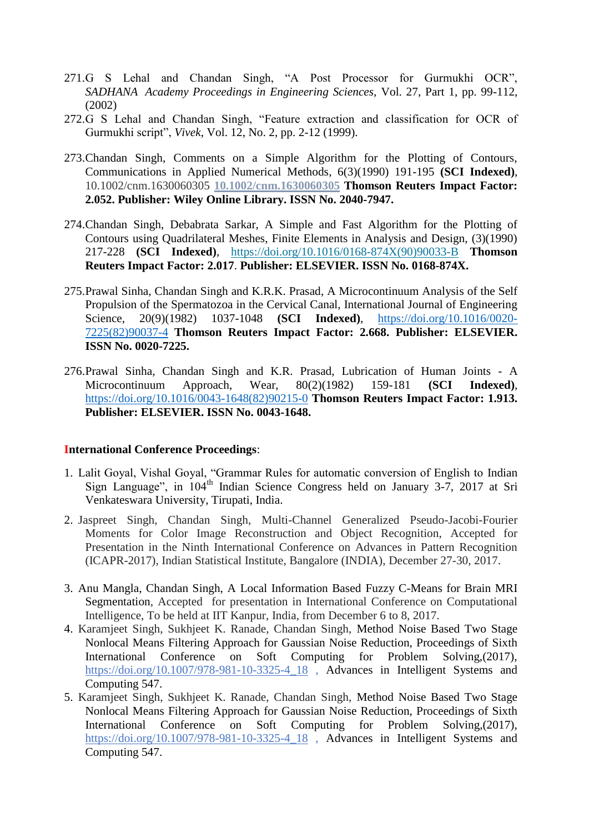- 271.G S Lehal and Chandan Singh, "A Post Processor for Gurmukhi OCR", *SADHANA Academy Proceedings in Engineering Sciences,* Vol. 27, Part 1, pp. 99-112, (2002)
- 272.G S Lehal and Chandan Singh, "Feature extraction and classification for OCR of Gurmukhi script", *Vivek*, Vol. 12, No. 2, pp. 2-12 (1999).
- 273.Chandan Singh, Comments on a Simple Algorithm for the Plotting of Contours, Communications in Applied Numerical Methods, 6(3)(1990) 191-195 **(SCI Indexed)**, 10.1002/cnm.1630060305 **10.1002/cnm.1630060305 Thomson Reuters Impact Factor: 2.052. Publisher: Wiley Online Library. ISSN No. 2040-7947.**
- 274.Chandan Singh, Debabrata Sarkar, A Simple and Fast Algorithm for the Plotting of Contours using Quadrilateral Meshes, Finite Elements in Analysis and Design, (3)(1990) 217-228 **(SCI Indexed)**, [https://doi.org/10.1016/0168-874X\(90\)90033-B](https://doi.org/10.1016/0168-874X(90)90033-B) **Thomson Reuters Impact Factor: 2.017**. **Publisher: ELSEVIER. ISSN No. 0168-874X.**
- 275.Prawal Sinha, Chandan Singh and K.R.K. Prasad, A Microcontinuum Analysis of the Self Propulsion of the Spermatozoa in the Cervical Canal, International Journal of Engineering Science, 20(9)(1982) 1037-1048 **(SCI Indexed)**, [https://doi.org/10.1016/0020-](https://doi.org/10.1016/0020-7225(82)90037-4) [7225\(82\)90037-4](https://doi.org/10.1016/0020-7225(82)90037-4) **Thomson Reuters Impact Factor: 2.668. Publisher: ELSEVIER. ISSN No. 0020-7225.**
- 276.Prawal Sinha, Chandan Singh and K.R. Prasad, Lubrication of Human Joints A Microcontinuum Approach, Wear, 80(2)(1982) 159-181 **(SCI Indexed)**, [https://doi.org/10.1016/0043-1648\(82\)90215-0](https://doi.org/10.1016/0043-1648(82)90215-0) **Thomson Reuters Impact Factor: 1.913. Publisher: ELSEVIER. ISSN No. 0043-1648.**

## **International Conference Proceedings**:

- 1. Lalit Goyal, Vishal Goyal, "Grammar Rules for automatic conversion of English to Indian Sign Language", in  $104<sup>th</sup>$  Indian Science Congress held on January 3-7, 2017 at Sri Venkateswara University, Tirupati, India.
- 2. Jaspreet Singh, Chandan Singh, Multi-Channel Generalized Pseudo-Jacobi-Fourier Moments for Color Image Reconstruction and Object Recognition, Accepted for Presentation in the Ninth International Conference on Advances in Pattern Recognition (ICAPR-2017), Indian Statistical Institute, Bangalore (INDIA), December 27-30, 2017.
- 3. Anu Mangla, Chandan Singh, A Local Information Based Fuzzy C-Means for Brain MRI Segmentation, Accepted for presentation in International Conference on Computational Intelligence, To be held at IIT Kanpur, India, from December 6 to 8, 2017.
- 4. Karamjeet Singh, Sukhjeet K. Ranade, Chandan Singh, Method Noise Based Two Stage Nonlocal Means Filtering Approach for Gaussian Noise Reduction, Proceedings of Sixth International Conference on Soft Computing for Problem Solving,(2017), https://doi.org/10.1007/978-981-10-3325-4\_18, Advances in Intelligent Systems and Computing 547.
- 5. Karamjeet Singh, Sukhjeet K. Ranade, Chandan Singh, Method Noise Based Two Stage Nonlocal Means Filtering Approach for Gaussian Noise Reduction, Proceedings of Sixth International Conference on Soft Computing for Problem Solving,(2017), https://doi.org/10.1007/978-981-10-3325-4\_18, Advances in Intelligent Systems and Computing 547.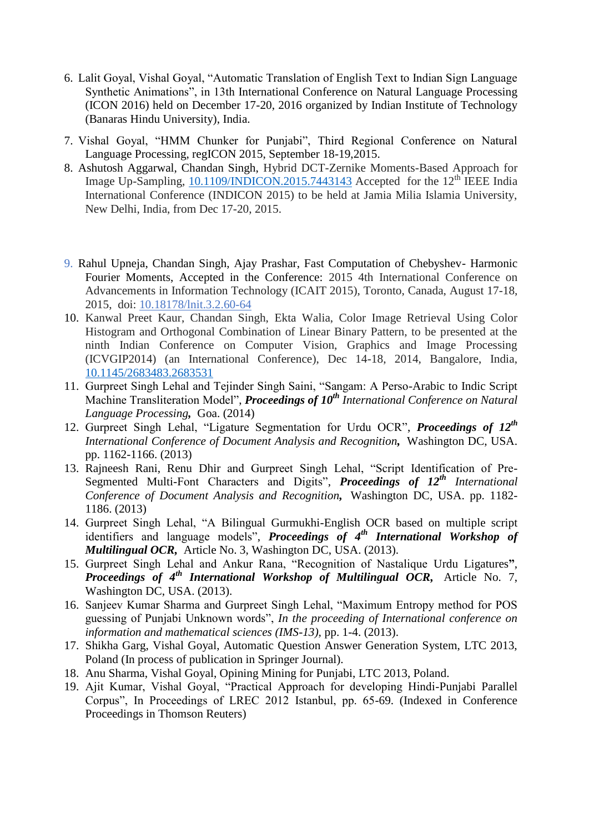- 6. Lalit Goyal, Vishal Goyal, "Automatic Translation of English Text to Indian Sign Language Synthetic Animations", in 13th International Conference on Natural Language Processing (ICON 2016) held on December 17-20, 2016 organized by Indian Institute of Technology (Banaras Hindu University), India.
- 7. Vishal Goyal, "HMM Chunker for Punjabi", Third Regional Conference on Natural Language Processing, regICON 2015, September 18-19,2015.
- 8. Ashutosh Aggarwal, Chandan Singh, Hybrid DCT-Zernike Moments-Based Approach for Image Up-Sampling,  $10.1109/INDICON.2015.7443143$  Accepted for the  $12<sup>th</sup>$  IEEE India International Conference (INDICON 2015) to be held at Jamia Milia Islamia University, New Delhi, India, from Dec 17-20, 2015.
- 9. Rahul Upneja, Chandan Singh, Ajay Prashar, Fast Computation of Chebyshev- Harmonic Fourier Moments, Accepted in the Conference: 2015 4th International Conference on Advancements in Information Technology (ICAIT 2015), Toronto, Canada, August 17-18, 2015, doi: 10.18178/lnit.3.2.60-64
- 10. Kanwal Preet Kaur, Chandan Singh, Ekta Walia, Color Image Retrieval Using Color Histogram and Orthogonal Combination of Linear Binary Pattern, to be presented at the ninth Indian Conference on Computer Vision, Graphics and Image Processing (ICVGIP2014) (an International Conference), Dec 14-18, 2014, Bangalore, India, [10.1145/2683483.2683531](https://doi.org/10.1145/2683483.2683531)
- 11. Gurpreet Singh Lehal and Tejinder Singh Saini, "Sangam: A Perso-Arabic to Indic Script Machine Transliteration Model", *Proceedings of 10<sup>th</sup> International Conference on Natural Language Processing,* Goa. (2014)
- 12. Gurpreet Singh Lehal, "Ligature Segmentation for Urdu OCR", *Proceedings of 12th International Conference of Document Analysis and Recognition,* Washington DC, USA. pp. 1162-1166. (2013)
- 13. Rajneesh Rani, Renu Dhir and Gurpreet Singh Lehal, "Script Identification of Pre-Segmented Multi-Font Characters and Digits", *Proceedings of 12th International Conference of Document Analysis and Recognition,* Washington DC, USA. pp. 1182- 1186. (2013)
- 14. Gurpreet Singh Lehal, "A Bilingual Gurmukhi-English OCR based on multiple script identifiers and language models", *Proceedings of 4th International Workshop of Multilingual OCR,* Article No. 3, Washington DC, USA. (2013).
- 15. Gurpreet Singh Lehal and Ankur Rana, "Recognition of Nastalique Urdu Ligatures**"**, *Proceedings of 4th International Workshop of Multilingual OCR,* Article No. 7, Washington DC, USA. (2013).
- 16. Sanjeev Kumar Sharma and Gurpreet Singh Lehal, "Maximum Entropy method for POS guessing of Punjabi Unknown words", *In the proceeding of International conference on information and mathematical sciences (IMS-13),* pp. 1-4. (2013).
- 17. Shikha Garg, Vishal Goyal, Automatic Question Answer Generation System, LTC 2013, Poland (In process of publication in Springer Journal).
- 18. Anu Sharma, Vishal Goyal, Opining Mining for Punjabi, LTC 2013, Poland.
- 19. Ajit Kumar, Vishal Goyal, "Practical Approach for developing Hindi-Punjabi Parallel Corpus", In Proceedings of LREC 2012 Istanbul, pp. 65-69. (Indexed in Conference Proceedings in Thomson Reuters)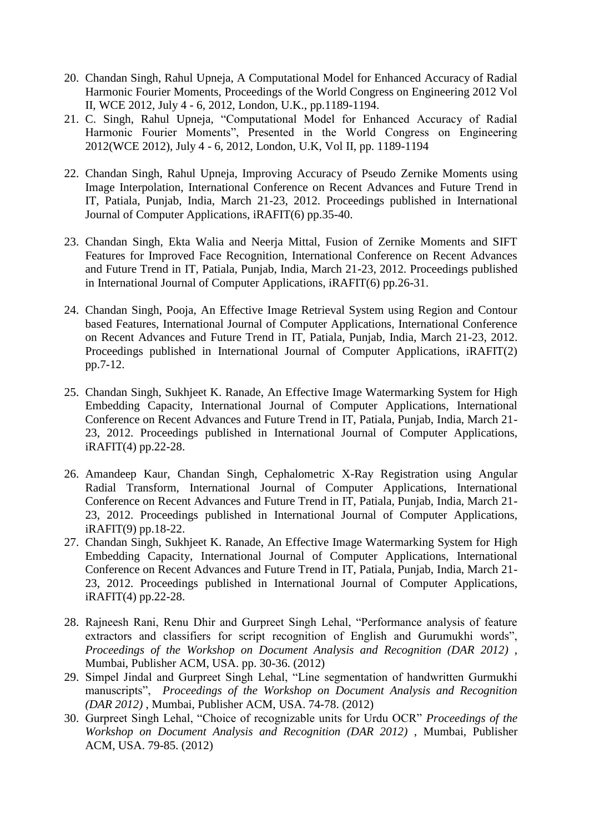- 20. Chandan Singh, Rahul Upneja, A Computational Model for Enhanced Accuracy of Radial Harmonic Fourier Moments, Proceedings of the World Congress on Engineering 2012 Vol II, WCE 2012, July 4 - 6, 2012, London, U.K., pp.1189-1194.
- 21. C. Singh, Rahul Upneja, "Computational Model for Enhanced Accuracy of Radial Harmonic Fourier Moments", Presented in the World Congress on Engineering 2012(WCE 2012), July 4 - 6, 2012, London, U.K, Vol II, pp. 1189-1194
- 22. Chandan Singh, Rahul Upneja, Improving Accuracy of Pseudo Zernike Moments using Image Interpolation, International Conference on Recent Advances and Future Trend in IT, Patiala, Punjab, India, March 21-23, 2012. Proceedings published in International Journal of Computer Applications, iRAFIT(6) pp.35-40.
- 23. Chandan Singh, Ekta Walia and Neerja Mittal, Fusion of Zernike Moments and SIFT Features for Improved Face Recognition, International Conference on Recent Advances and Future Trend in IT, Patiala, Punjab, India, March 21-23, 2012. Proceedings published in International Journal of Computer Applications, iRAFIT(6) pp.26-31.
- 24. Chandan Singh, Pooja, An Effective Image Retrieval System using Region and Contour based Features, International Journal of Computer Applications, International Conference on Recent Advances and Future Trend in IT, Patiala, Punjab, India, March 21-23, 2012. Proceedings published in International Journal of Computer Applications, iRAFIT(2) pp.7-12.
- 25. Chandan Singh, Sukhjeet K. Ranade, An Effective Image Watermarking System for High Embedding Capacity, International Journal of Computer Applications, International Conference on Recent Advances and Future Trend in IT, Patiala, Punjab, India, March 21- 23, 2012. Proceedings published in International Journal of Computer Applications, iRAFIT(4) pp.22-28.
- 26. Amandeep Kaur, Chandan Singh, Cephalometric X-Ray Registration using Angular Radial Transform, International Journal of Computer Applications, International Conference on Recent Advances and Future Trend in IT, Patiala, Punjab, India, March 21- 23, 2012. Proceedings published in International Journal of Computer Applications, iRAFIT(9) pp.18-22.
- 27. Chandan Singh, Sukhjeet K. Ranade, An Effective Image Watermarking System for High Embedding Capacity, International Journal of Computer Applications, International Conference on Recent Advances and Future Trend in IT, Patiala, Punjab, India, March 21- 23, 2012. Proceedings published in International Journal of Computer Applications, iRAFIT(4) pp.22-28.
- 28. Rajneesh Rani, Renu Dhir and Gurpreet Singh Lehal, "Performance analysis of feature extractors and classifiers for script recognition of English and Gurumukhi words", *Proceedings of the Workshop on Document Analysis and Recognition (DAR 2012)* , Mumbai, Publisher ACM, USA. pp. 30-36. (2012)
- 29. Simpel Jindal and Gurpreet Singh Lehal, "Line segmentation of handwritten Gurmukhi manuscripts", *Proceedings of the Workshop on Document Analysis and Recognition (DAR 2012)* , Mumbai, Publisher ACM, USA. 74-78. (2012)
- 30. Gurpreet Singh Lehal, "Choice of recognizable units for Urdu OCR" *Proceedings of the Workshop on Document Analysis and Recognition (DAR 2012)* , Mumbai, Publisher ACM, USA. 79-85. (2012)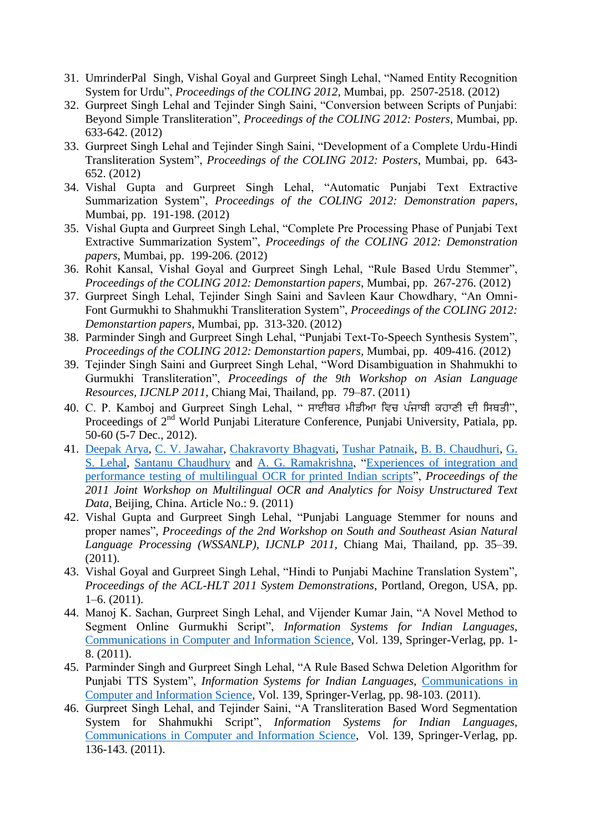- 31. UmrinderPal Singh, Vishal Goyal and Gurpreet Singh Lehal, "Named Entity Recognition System for Urdu", *Proceedings of the COLING 2012*, Mumbai, pp. 2507-2518. (2012)
- 32. Gurpreet Singh Lehal and Tejinder Singh Saini, "Conversion between Scripts of Punjabi: Beyond Simple Transliteration", *Proceedings of the COLING 2012: Posters*, Mumbai, pp. 633-642. (2012)
- 33. Gurpreet Singh Lehal and Tejinder Singh Saini, "Development of a Complete Urdu-Hindi Transliteration System", *Proceedings of the COLING 2012: Posters*, Mumbai, pp. 643- 652. (2012)
- 34. Vishal Gupta and Gurpreet Singh Lehal, "Automatic Punjabi Text Extractive Summarization System", *Proceedings of the COLING 2012: Demonstration papers*, Mumbai, pp. 191-198. (2012)
- 35. Vishal Gupta and Gurpreet Singh Lehal, "Complete Pre Processing Phase of Punjabi Text Extractive Summarization System", *Proceedings of the COLING 2012: Demonstration papers*, Mumbai, pp. 199-206. (2012)
- 36. Rohit Kansal, Vishal Goyal and Gurpreet Singh Lehal, "Rule Based Urdu Stemmer", *Proceedings of the COLING 2012: Demonstartion papers*, Mumbai, pp. 267-276. (2012)
- 37. Gurpreet Singh Lehal, Tejinder Singh Saini and Savleen Kaur Chowdhary, "An Omni-Font Gurmukhi to Shahmukhi Transliteration System", *Proceedings of the COLING 2012: Demonstartion papers*, Mumbai, pp. 313-320. (2012)
- 38. Parminder Singh and Gurpreet Singh Lehal, "Punjabi Text-To-Speech Synthesis System", *Proceedings of the COLING 2012: Demonstartion papers*, Mumbai, pp. 409-416. (2012)
- 39. Tejinder Singh Saini and Gurpreet Singh Lehal, "Word Disambiguation in Shahmukhi to Gurmukhi Transliteration", *Proceedings of the 9th Workshop on Asian Language Resources, IJCNLP 2011*, Chiang Mai, Thailand, pp. 79–87. (2011)
- 40. C. P. Kamboj and Gurpreet Singh Lehal, " ਸਾਈਬਰ ਮੀਡੀਆ ਵਿਚ ਪੰਜਾਬੀ ਕਹਾਣੀ ਦੀ ਸਿਥਤੀ", Proceedings of 2<sup>nd</sup> World Punjabi Literature Conference, Punjabi University, Patiala, pp. 50-60 (5-7 Dec., 2012).
- 41. [Deepak Arya,](http://dl.acm.org/author_page.cfm?id=81488669134&CFID=104819046&CFTOKEN=19625105) [C. V. Jawahar,](http://dl.acm.org/author_page.cfm?id=81100164646&CFID=104819046&CFTOKEN=19625105) [Chakravorty Bhagvati,](http://dl.acm.org/author_page.cfm?id=81331488617&CFID=104819046&CFTOKEN=19625105) [Tushar Patnaik,](http://dl.acm.org/author_page.cfm?id=81488642358&CFID=104819046&CFTOKEN=19625105) [B. B. Chaudhuri,](http://dl.acm.org/author_page.cfm?id=81458644964&CFID=104819046&CFTOKEN=19625105) [G.](http://dl.acm.org/author_page.cfm?id=81488641399&CFID=104819046&CFTOKEN=19625105)  [S. Lehal,](http://dl.acm.org/author_page.cfm?id=81488641399&CFID=104819046&CFTOKEN=19625105) [Santanu Chaudhury](http://dl.acm.org/author_page.cfm?id=81100519681&CFID=104819046&CFTOKEN=19625105) and [A. G. Ramakrishna,](http://dl.acm.org/author_page.cfm?id=81100289138&CFID=104819046&CFTOKEN=19625105) ["Experiences of integration and](http://dl.acm.org/citation.cfm?id=2034628&CFID=104819046&CFTOKEN=19625105)  [performance testing of multilingual OCR for printed Indian scripts"](http://dl.acm.org/citation.cfm?id=2034628&CFID=104819046&CFTOKEN=19625105), *Proceedings of the 2011 Joint Workshop on Multilingual OCR and Analytics for Noisy Unstructured Text Data,* Beijing, China. Article No.: 9. (2011)
- 42. Vishal Gupta and Gurpreet Singh Lehal, "Punjabi Language Stemmer for nouns and proper names", *Proceedings of the 2nd Workshop on South and Southeast Asian Natural Language Processing (WSSANLP), IJCNLP 2011,* Chiang Mai, Thailand, pp. 35–39. (2011).
- 43. Vishal Goyal and Gurpreet Singh Lehal, "Hindi to Punjabi Machine Translation System", *Proceedings of the ACL-HLT 2011 System Demonstrations*, Portland, Oregon, USA, pp. 1–6. (2011).
- 44. Manoj K. Sachan, Gurpreet Singh Lehal, and Vijender Kumar Jain, "A Novel Method to Segment Online Gurmukhi Script", *Information Systems for Indian Languages,*  [Communications in Computer and Information Science,](http://www.springer.com/series/7899) Vol. 139, Springer-Verlag, pp. 1- 8. (2011).
- 45. Parminder Singh and Gurpreet Singh Lehal, "A Rule Based Schwa Deletion Algorithm for Punjabi TTS System", *Information Systems for Indian Languages,* [Communications in](http://www.springer.com/series/7899)  [Computer and Information Science,](http://www.springer.com/series/7899) Vol. 139, Springer-Verlag, pp. 98-103. (2011).
- 46. Gurpreet Singh Lehal, and Tejinder Saini, "A Transliteration Based Word Segmentation System for Shahmukhi Script", *Information Systems for Indian Languages,*  [Communications in Computer and Information Science,](http://www.springer.com/series/7899) Vol. 139, Springer-Verlag, pp. 136-143. (2011).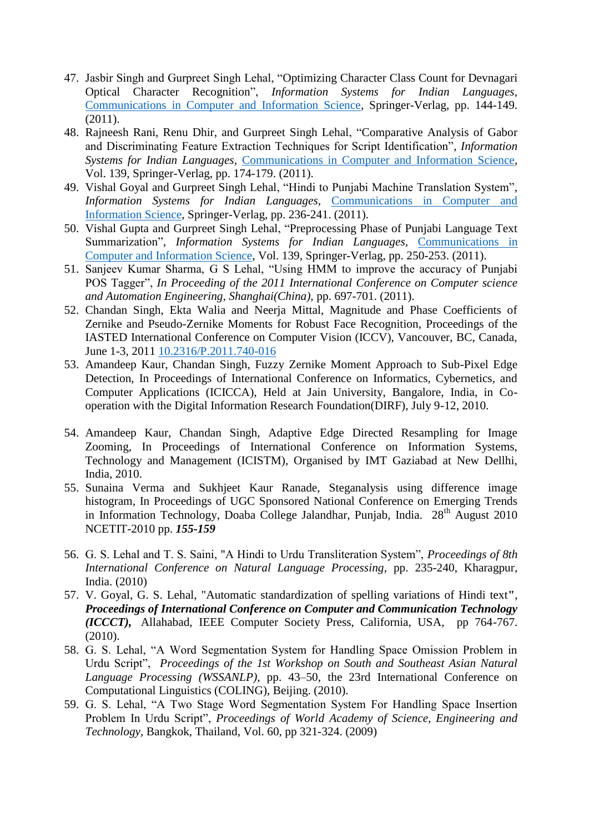- 47. Jasbir Singh and Gurpreet Singh Lehal, "Optimizing Character Class Count for Devnagari Optical Character Recognition", *Information Systems for Indian Languages,*  [Communications in Computer and Information Science,](http://www.springer.com/series/7899) Springer-Verlag, pp. 144-149. (2011).
- 48. Rajneesh Rani, Renu Dhir, and Gurpreet Singh Lehal, "Comparative Analysis of Gabor and Discriminating Feature Extraction Techniques for Script Identification", *Information Systems for Indian Languages,* [Communications in Computer and Information Science,](http://www.springer.com/series/7899) Vol. 139, Springer-Verlag, pp. 174-179. (2011).
- 49. Vishal Goyal and Gurpreet Singh Lehal, "Hindi to Punjabi Machine Translation System", *Information Systems for Indian Languages,* [Communications in Computer and](http://www.springer.com/series/7899)  [Information Science,](http://www.springer.com/series/7899) Springer-Verlag, pp. 236-241. (2011).
- 50. Vishal Gupta and Gurpreet Singh Lehal, "Preprocessing Phase of Punjabi Language Text Summarization", *Information Systems for Indian Languages*, *Communications in* [Computer and Information Science,](http://www.springer.com/series/7899) Vol. 139, Springer-Verlag, pp. 250-253. (2011).
- 51. Sanjeev Kumar Sharma, G S Lehal, "Using HMM to improve the accuracy of Punjabi POS Tagger", *In Proceeding of the 2011 International Conference on Computer science and Automation Engineering, Shanghai(China),* pp. 697-701. (2011).
- 52. Chandan Singh, Ekta Walia and Neerja Mittal, Magnitude and Phase Coefficients of Zernike and Pseudo-Zernike Moments for Robust Face Recognition, Proceedings of the IASTED International Conference on Computer Vision (ICCV), Vancouver, BC, Canada, June 1-3, 2011 [10.2316/P.2011.740-016](http://dx.doi.org/10.2316/P.2011.740-016)
- 53. Amandeep Kaur, Chandan Singh, Fuzzy Zernike Moment Approach to Sub-Pixel Edge Detection, In Proceedings of International Conference on Informatics, Cybernetics, and Computer Applications (ICICCA), Held at Jain University, Bangalore, India, in Cooperation with the Digital Information Research Foundation(DIRF), July 9-12, 2010.
- 54. Amandeep Kaur, Chandan Singh, Adaptive Edge Directed Resampling for Image Zooming, In Proceedings of International Conference on Information Systems, Technology and Management (ICISTM), Organised by IMT Gaziabad at New Dellhi, India, 2010.
- 55. Sunaina Verma and Sukhjeet Kaur Ranade, Steganalysis using difference image histogram, In Proceedings of UGC Sponsored National Conference on Emerging Trends in Information Technology, Doaba College Jalandhar, Punjab, India.  $28<sup>th</sup>$  August 2010 NCETIT-2010 pp. *155-159*
- 56. G. S. Lehal and T. S. Saini, "A Hindi to Urdu Transliteration System", *Proceedings of 8th International Conference on Natural Language Processing*, pp. 235-240, Kharagpur, India. (2010)
- 57. V. Goyal, G. S. Lehal, "Automatic standardization of spelling variations of Hindi text**"**, *Proceedings of International Conference on Computer and Communication Technology (ICCCT),* Allahabad, IEEE Computer Society Press, California, USA, pp 764-767. (2010).
- 58. G. S. Lehal, "A Word Segmentation System for Handling Space Omission Problem in Urdu Script", *Proceedings of the 1st Workshop on South and Southeast Asian Natural Language Processing (WSSANLP)*, pp. 43–50, the 23rd International Conference on Computational Linguistics (COLING), Beijing. (2010).
- 59. G. S. Lehal, "A Two Stage Word Segmentation System For Handling Space Insertion Problem In Urdu Script", *Proceedings of World Academy of Science, Engineering and Technology,* Bangkok, Thailand, Vol. 60, pp 321-324. (2009)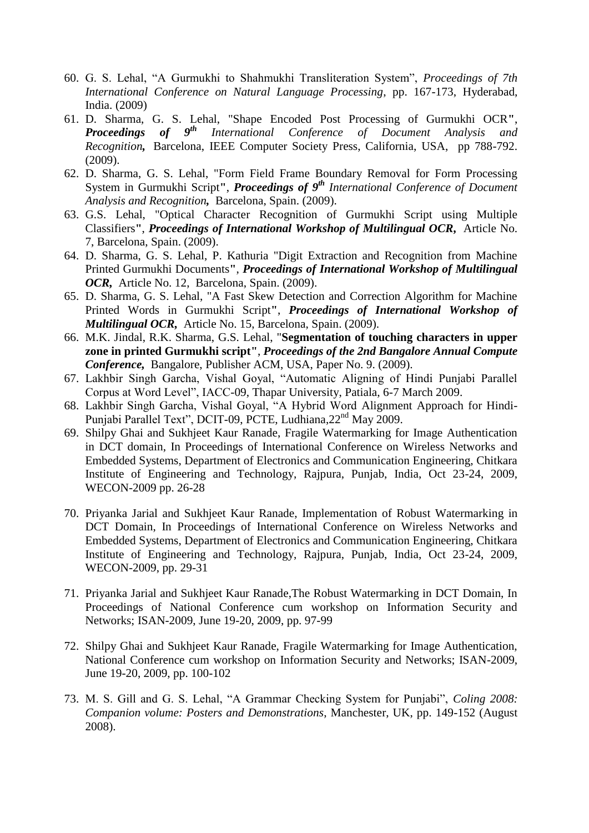- 60. G. S. Lehal, "A Gurmukhi to Shahmukhi Transliteration System", *Proceedings of 7th International Conference on Natural Language Processing*, pp. 167-173, Hyderabad, India. (2009)
- 61. D. Sharma, G. S. Lehal, "Shape Encoded Post Processing of Gurmukhi OCR**"**, *Proceedings of 9th International Conference of Document Analysis and Recognition,* Barcelona, IEEE Computer Society Press, California, USA, pp 788-792. (2009).
- 62. D. Sharma, G. S. Lehal, "Form Field Frame Boundary Removal for Form Processing System in Gurmukhi Script**"**, *Proceedings of 9th International Conference of Document Analysis and Recognition,* Barcelona, Spain. (2009).
- 63. G.S. Lehal, "Optical Character Recognition of Gurmukhi Script using Multiple Classifiers**"**, *Proceedings of International Workshop of Multilingual OCR,* Article No. 7, Barcelona, Spain. (2009).
- 64. D. Sharma, G. S. Lehal, P. Kathuria "Digit Extraction and Recognition from Machine Printed Gurmukhi Documents**"**, *Proceedings of International Workshop of Multilingual OCR,* Article No. 12, Barcelona, Spain. (2009).
- 65. D. Sharma, G. S. Lehal, "A Fast Skew Detection and Correction Algorithm for Machine Printed Words in Gurmukhi Script**"**, *Proceedings of International Workshop of Multilingual OCR,* Article No. 15, Barcelona, Spain. (2009).
- 66. M.K. Jindal, R.K. Sharma, G.S. Lehal, "**Segmentation of touching characters in upper zone in printed Gurmukhi script"**, *Proceedings of the 2nd Bangalore Annual Compute Conference,* Bangalore, Publisher ACM, USA, Paper No. 9. (2009).
- 67. Lakhbir Singh Garcha, Vishal Goyal, "Automatic Aligning of Hindi Punjabi Parallel Corpus at Word Level", IACC-09, Thapar University, Patiala, 6-7 March 2009.
- 68. Lakhbir Singh Garcha, Vishal Goyal, "A Hybrid Word Alignment Approach for Hindi-Punjabi Parallel Text", DCIT-09, PCTE, Ludhiana,22nd May 2009.
- 69. Shilpy Ghai and Sukhjeet Kaur Ranade, Fragile Watermarking for Image Authentication in DCT domain, In Proceedings of International Conference on Wireless Networks and Embedded Systems, Department of Electronics and Communication Engineering, Chitkara Institute of Engineering and Technology, Rajpura, Punjab, India, Oct 23-24, 2009, WECON-2009 pp. 26-28
- 70. Priyanka Jarial and Sukhjeet Kaur Ranade, Implementation of Robust Watermarking in DCT Domain, In Proceedings of International Conference on Wireless Networks and Embedded Systems, Department of Electronics and Communication Engineering, Chitkara Institute of Engineering and Technology, Rajpura, Punjab, India, Oct 23-24, 2009, WECON-2009, pp. 29-31
- 71. Priyanka Jarial and Sukhjeet Kaur Ranade,The Robust Watermarking in DCT Domain, In Proceedings of National Conference cum workshop on Information Security and Networks; ISAN-2009, June 19-20, 2009, pp. 97-99
- 72. Shilpy Ghai and Sukhjeet Kaur Ranade, Fragile Watermarking for Image Authentication, National Conference cum workshop on Information Security and Networks; ISAN-2009, June 19-20, 2009, pp. 100-102
- 73. M. S. Gill and G. S. Lehal, "A Grammar Checking System for Punjabi", *Coling 2008: Companion volume: Posters and Demonstrations*, Manchester, UK, pp. 149-152 (August 2008).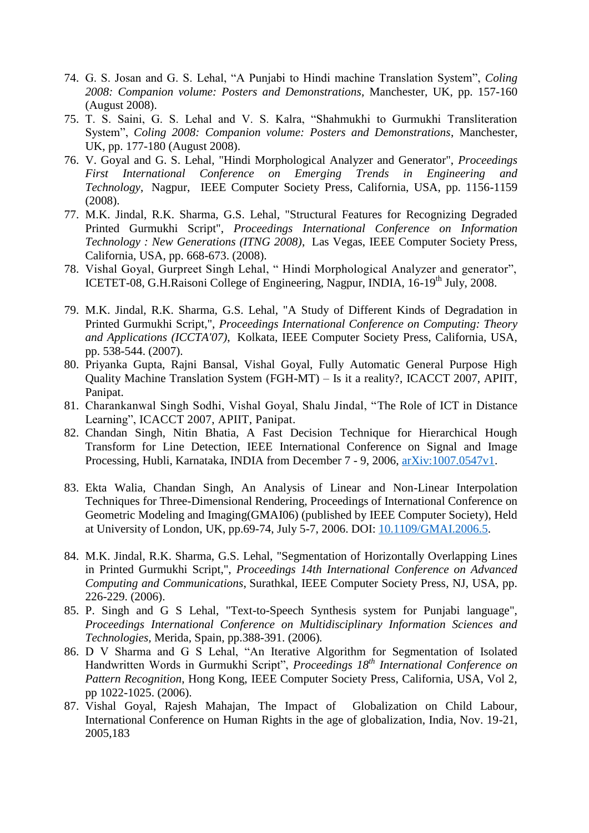- 74. G. S. Josan and G. S. Lehal, "A Punjabi to Hindi machine Translation System", *Coling 2008: Companion volume: Posters and Demonstrations*, Manchester, UK, pp. 157-160 (August 2008).
- 75. T. S. Saini, G. S. Lehal and V. S. Kalra, "Shahmukhi to Gurmukhi Transliteration System", *Coling 2008: Companion volume: Posters and Demonstrations*, Manchester, UK, pp. 177-180 (August 2008).
- 76. V. Goyal and G. S. Lehal, "Hindi Morphological Analyzer and Generator", *Proceedings First International Conference on Emerging Trends in Engineering and Technology*, Nagpur, IEEE Computer Society Press, California, USA, pp. 1156-1159 (2008).
- 77. M.K. Jindal, R.K. Sharma, G.S. Lehal, "Structural Features for Recognizing Degraded Printed Gurmukhi Script", *Proceedings International Conference on Information Technology : New Generations (ITNG 2008)*, Las Vegas, IEEE Computer Society Press, California, USA, pp. 668-673. (2008).
- 78. Vishal Goyal, Gurpreet Singh Lehal, " Hindi Morphological Analyzer and generator", ICETET-08, G.H.Raisoni College of Engineering, Nagpur, INDIA, 16-19<sup>th</sup> July, 2008.
- 79. M.K. Jindal, R.K. Sharma, G.S. Lehal, "A Study of Different Kinds of Degradation in Printed Gurmukhi Script,", *Proceedings International Conference on Computing: Theory and Applications (ICCTA'07)*, Kolkata, IEEE Computer Society Press, California, USA, pp. 538-544. (2007).
- 80. Priyanka Gupta, Rajni Bansal, Vishal Goyal, Fully Automatic General Purpose High Quality Machine Translation System (FGH-MT) – Is it a reality?, ICACCT 2007, APIIT, Panipat.
- 81. Charankanwal Singh Sodhi, Vishal Goyal, Shalu Jindal, "The Role of ICT in Distance Learning", ICACCT 2007, APIIT, Panipat.
- 82. Chandan Singh, Nitin Bhatia, A Fast Decision Technique for Hierarchical Hough Transform for Line Detection, IEEE International Conference on Signal and Image Processing, Hubli, Karnataka, INDIA from December 7 - 9, 2006, [arXiv:1007.0547v1.](https://arxiv.org/abs/1007.0547v1)
- 83. Ekta Walia, Chandan Singh, An Analysis of Linear and Non-Linear Interpolation Techniques for Three-Dimensional Rendering, Proceedings of International Conference on Geometric Modeling and Imaging(GMAI06) (published by IEEE Computer Society), Held at University of London, UK, pp.69-74, July 5-7, 2006. DOI: [10.1109/GMAI.2006.5.](https://doi.org/10.1109/GMAI.2006.5)
- 84. M.K. Jindal, R.K. Sharma, G.S. Lehal, "Segmentation of Horizontally Overlapping Lines in Printed Gurmukhi Script,", *Proceedings 14th International Conference on Advanced Computing and Communications*, Surathkal, IEEE Computer Society Press, NJ, USA, pp. 226-229. (2006).
- 85. P. Singh and G S Lehal, "Text-to-Speech Synthesis system for Punjabi language", *Proceedings International Conference on Multidisciplinary Information Sciences and Technologies,* Merida, Spain, pp.388-391. (2006)*.*
- 86. D V Sharma and G S Lehal, "An Iterative Algorithm for Segmentation of Isolated Handwritten Words in Gurmukhi Script", *Proceedings 18th International Conference on Pattern Recognition*, Hong Kong, IEEE Computer Society Press, California, USA, Vol 2, pp 1022-1025. (2006).
- 87. Vishal Goyal, Rajesh Mahajan, The Impact of Globalization on Child Labour, International Conference on Human Rights in the age of globalization, India, Nov. 19-21, 2005,183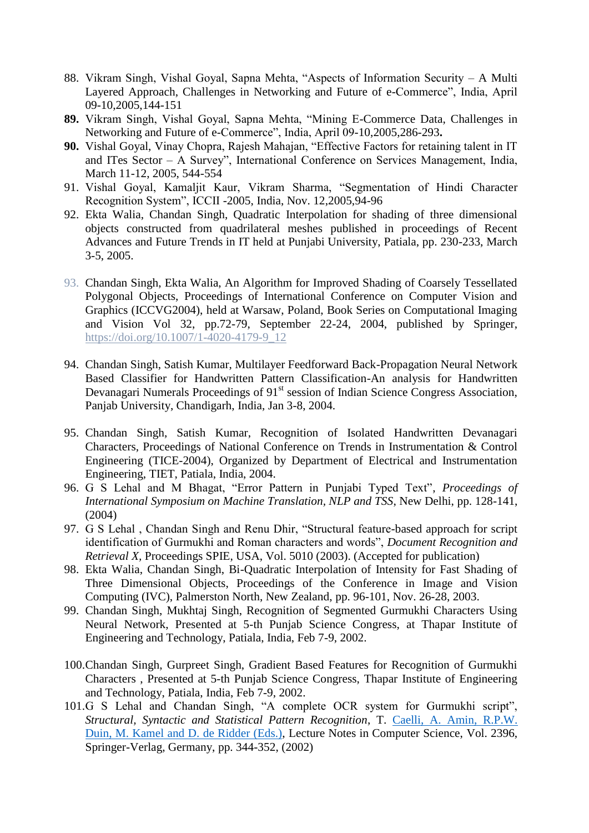- 88. Vikram Singh, Vishal Goyal, Sapna Mehta, "Aspects of Information Security A Multi Layered Approach, Challenges in Networking and Future of e-Commerce", India, April 09-10,2005,144-151
- **89.** Vikram Singh, Vishal Goyal, Sapna Mehta, "Mining E-Commerce Data, Challenges in Networking and Future of e-Commerce", India, April 09-10,2005,286-293**.**
- **90.** Vishal Goyal, Vinay Chopra, Rajesh Mahajan, "Effective Factors for retaining talent in IT and ITes Sector – A Survey", International Conference on Services Management, India, March 11-12, 2005, 544-554
- 91. Vishal Goyal, Kamaljit Kaur, Vikram Sharma, "Segmentation of Hindi Character Recognition System", ICCII -2005, India, Nov. 12,2005,94-96
- 92. Ekta Walia, Chandan Singh, Quadratic Interpolation for shading of three dimensional objects constructed from quadrilateral meshes published in proceedings of Recent Advances and Future Trends in IT held at Punjabi University, Patiala, pp. 230-233, March 3-5, 2005.
- 93. Chandan Singh, Ekta Walia, An Algorithm for Improved Shading of Coarsely Tessellated Polygonal Objects, Proceedings of International Conference on Computer Vision and Graphics (ICCVG2004), held at Warsaw, Poland, Book Series on Computational Imaging and Vision Vol 32, pp.72-79, September 22-24, 2004, published by Springer, https://doi.org/10.1007/1-4020-4179-9\_12
- 94. Chandan Singh, Satish Kumar, Multilayer Feedforward Back-Propagation Neural Network Based Classifier for Handwritten Pattern Classification-An analysis for Handwritten Devanagari Numerals Proceedings of 91<sup>st</sup> session of Indian Science Congress Association, Panjab University, Chandigarh, India, Jan 3-8, 2004.
- 95. Chandan Singh, Satish Kumar, Recognition of Isolated Handwritten Devanagari Characters, Proceedings of National Conference on Trends in Instrumentation & Control Engineering (TICE-2004), Organized by Department of Electrical and Instrumentation Engineering, TIET, Patiala, India, 2004.
- 96. G S Lehal and M Bhagat, "Error Pattern in Punjabi Typed Text", *Proceedings of International Symposium on Machine Translation, NLP and TSS*, New Delhi, pp. 128-141, (2004)
- 97. G S Lehal , Chandan Singh and Renu Dhir, "Structural feature-based approach for script identification of Gurmukhi and Roman characters and words", *Document Recognition and Retrieval X, Proceedings SPIE, USA, Vol. 5010 (2003). (Accepted for publication)*
- 98. Ekta Walia, Chandan Singh, Bi-Quadratic Interpolation of Intensity for Fast Shading of Three Dimensional Objects, Proceedings of the Conference in Image and Vision Computing (IVC), Palmerston North, New Zealand, pp. 96-101, Nov. 26-28, 2003.
- 99. Chandan Singh, Mukhtaj Singh, Recognition of Segmented Gurmukhi Characters Using Neural Network, Presented at 5-th Punjab Science Congress, at Thapar Institute of Engineering and Technology, Patiala, India, Feb 7-9, 2002.
- 100.Chandan Singh, Gurpreet Singh, Gradient Based Features for Recognition of Gurmukhi Characters , Presented at 5-th Punjab Science Congress, Thapar Institute of Engineering and Technology, Patiala, India, Feb 7-9, 2002.
- 101.G S Lehal and Chandan Singh, "A complete OCR system for Gurmukhi script", *Structural, Syntactic and Statistical Pattern Recognition*, T. Caelli, A. Amin, R.P.W. Duin, M. Kamel and D. de Ridder (Eds.), Lecture Notes in Computer Science, Vol. 2396, Springer-Verlag, Germany, pp. 344-352, (2002)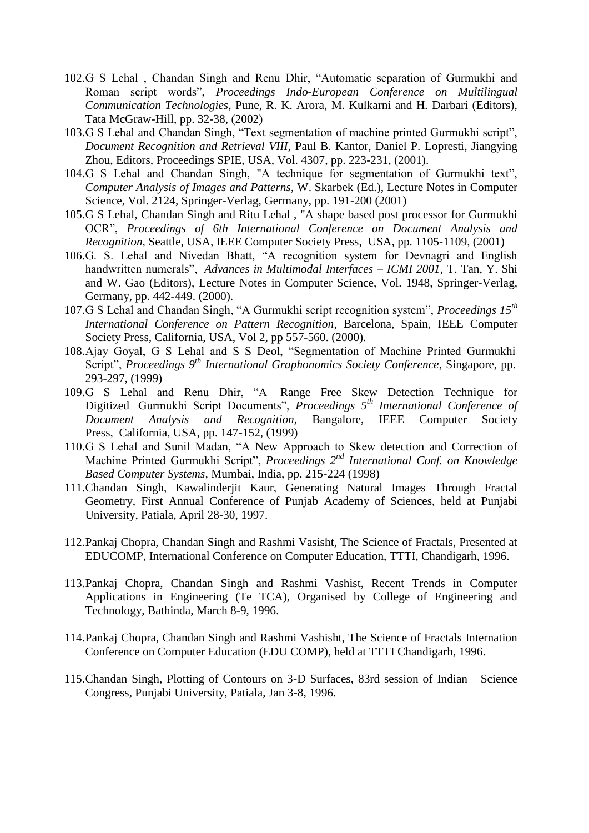- 102.G S Lehal , Chandan Singh and Renu Dhir, "Automatic separation of Gurmukhi and Roman script words", *Proceedings Indo-European Conference on Multilingual Communication Technologies*, Pune, R. K. Arora, M. Kulkarni and H. Darbari (Editors), Tata McGraw-Hill, pp. 32-38, (2002)
- 103.G S Lehal and Chandan Singh, "Text segmentation of machine printed Gurmukhi script", *Document Recognition and Retrieval VIII,* Paul B. Kantor, Daniel P. Lopresti, Jiangying Zhou, Editors, Proceedings SPIE, USA, Vol. 4307, pp. 223-231, (2001).
- 104.G S Lehal and Chandan Singh, "A technique for segmentation of Gurmukhi text", *Computer Analysis of Images and Patterns,* W. Skarbek (Ed.), Lecture Notes in Computer Science, Vol. 2124, Springer-Verlag, Germany, pp. 191-200 (2001)
- 105.G S Lehal, Chandan Singh and Ritu Lehal , "A shape based post processor for Gurmukhi OCR", *Proceedings of 6th International Conference on Document Analysis and Recognition,* Seattle, USA, IEEE Computer Society Press, USA, pp. 1105-1109, (2001)
- 106.G. S. Lehal and Nivedan Bhatt, "A recognition system for Devnagri and English handwritten numerals", *Advances in Multimodal Interfaces – ICMI 2001*, T. Tan, Y. Shi and W. Gao (Editors), Lecture Notes in Computer Science, Vol. 1948, Springer-Verlag, Germany, pp. 442-449. (2000).
- 107.G S Lehal and Chandan Singh, "A Gurmukhi script recognition system", *Proceedings 15th International Conference on Pattern Recognition*, Barcelona, Spain, IEEE Computer Society Press, California, USA, Vol 2, pp 557-560. (2000).
- 108.Ajay Goyal, G S Lehal and S S Deol, "Segmentation of Machine Printed Gurmukhi Script", *Proceedings 9th International Graphonomics Society Conference*, Singapore, pp. 293-297, (1999)
- 109.G S Lehal and Renu Dhir, "A Range Free Skew Detection Technique for Digitized Gurmukhi Script Documents", *Proceedings 5th International Conference of Document Analysis and Recognition,* Bangalore, IEEE Computer Society Press, California, USA, pp. 147-152, (1999)
- 110.G S Lehal and Sunil Madan, "A New Approach to Skew detection and Correction of Machine Printed Gurmukhi Script", *Proceedings* 2<sup>nd</sup> International Conf. on Knowledge *Based Computer Systems,* Mumbai, India, pp. 215-224 (1998)
- 111.Chandan Singh, Kawalinderjit Kaur, Generating Natural Images Through Fractal Geometry, First Annual Conference of Punjab Academy of Sciences, held at Punjabi University, Patiala, April 28-30, 1997.
- 112.Pankaj Chopra, Chandan Singh and Rashmi Vasisht, The Science of Fractals, Presented at EDUCOMP, International Conference on Computer Education, TTTI, Chandigarh, 1996.
- 113.Pankaj Chopra, Chandan Singh and Rashmi Vashist, Recent Trends in Computer Applications in Engineering (Te TCA), Organised by College of Engineering and Technology, Bathinda, March 8-9, 1996.
- 114.Pankaj Chopra, Chandan Singh and Rashmi Vashisht, The Science of Fractals Internation Conference on Computer Education (EDU COMP), held at TTTI Chandigarh, 1996.
- 115.Chandan Singh, Plotting of Contours on 3-D Surfaces, 83rd session of Indian Science Congress, Punjabi University, Patiala, Jan 3-8, 1996.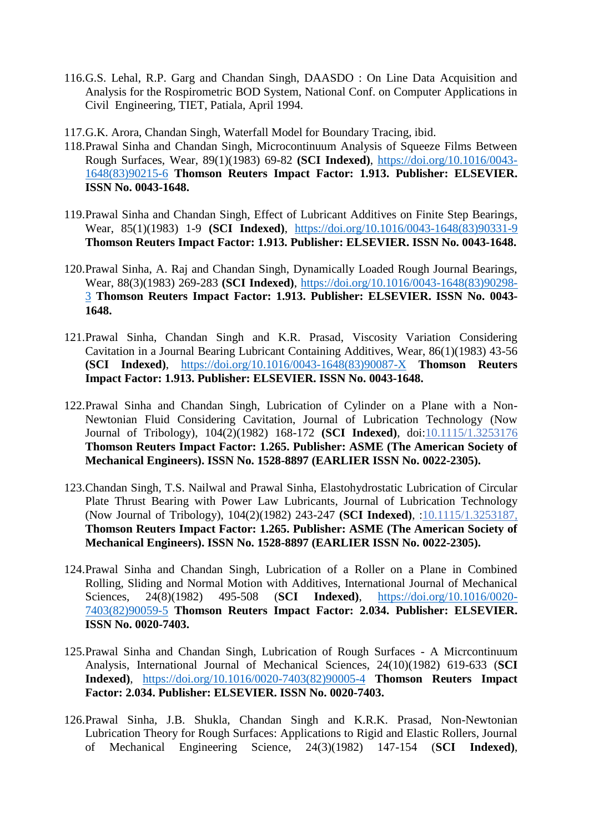- 116.G.S. Lehal, R.P. Garg and Chandan Singh, DAASDO : On Line Data Acquisition and Analysis for the Rospirometric BOD System, National Conf. on Computer Applications in Civil Engineering, TIET, Patiala, April 1994.
- 117.G.K. Arora, Chandan Singh, Waterfall Model for Boundary Tracing, ibid.
- 118.Prawal Sinha and Chandan Singh, Microcontinuum Analysis of Squeeze Films Between Rough Surfaces, Wear, 89(1)(1983) 69-82 **(SCI Indexed)**, [https://doi.org/10.1016/0043-](https://doi.org/10.1016/0043-1648(83)90215-6) [1648\(83\)90215-6](https://doi.org/10.1016/0043-1648(83)90215-6) **Thomson Reuters Impact Factor: 1.913. Publisher: ELSEVIER. ISSN No. 0043-1648.**
- 119.Prawal Sinha and Chandan Singh, Effect of Lubricant Additives on Finite Step Bearings, Wear, 85(1)(1983) 1-9 **(SCI Indexed)**, [https://doi.org/10.1016/0043-1648\(83\)90331-9](https://doi.org/10.1016/0043-1648(83)90331-9) **Thomson Reuters Impact Factor: 1.913. Publisher: ELSEVIER. ISSN No. 0043-1648.**
- 120.Prawal Sinha, A. Raj and Chandan Singh, Dynamically Loaded Rough Journal Bearings, Wear, 88(3)(1983) 269-283 **(SCI Indexed)**, [https://doi.org/10.1016/0043-1648\(83\)90298-](https://doi.org/10.1016/0043-1648(83)90298-3) [3](https://doi.org/10.1016/0043-1648(83)90298-3) **Thomson Reuters Impact Factor: 1.913. Publisher: ELSEVIER. ISSN No. 0043- 1648.**
- 121.Prawal Sinha, Chandan Singh and K.R. Prasad, Viscosity Variation Considering Cavitation in a Journal Bearing Lubricant Containing Additives, Wear, 86(1)(1983) 43-56 **(SCI Indexed)**, [https://doi.org/10.1016/0043-1648\(83\)90087-X](https://doi.org/10.1016/0043-1648(83)90087-X) **Thomson Reuters Impact Factor: 1.913. Publisher: ELSEVIER. ISSN No. 0043-1648.**
- 122.Prawal Sinha and Chandan Singh, Lubrication of Cylinder on a Plane with a Non-Newtonian Fluid Considering Cavitation, Journal of Lubrication Technology (Now Journal of Tribology), 104(2)(1982) 168-172 **(SCI Indexed)**, doi:10.1115/1.3253176 **Thomson Reuters Impact Factor: 1.265. Publisher: ASME (The American Society of Mechanical Engineers). ISSN No. 1528-8897 (EARLIER ISSN No. 0022-2305).**
- 123.Chandan Singh, T.S. Nailwal and Prawal Sinha, Elastohydrostatic Lubrication of Circular Plate Thrust Bearing with Power Law Lubricants, Journal of Lubrication Technology (Now Journal of Tribology), 104(2)(1982) 243-247 **(SCI Indexed)**, :10.1115/1.3253187, **Thomson Reuters Impact Factor: 1.265. Publisher: ASME (The American Society of Mechanical Engineers). ISSN No. 1528-8897 (EARLIER ISSN No. 0022-2305).**
- 124.Prawal Sinha and Chandan Singh, Lubrication of a Roller on a Plane in Combined Rolling, Sliding and Normal Motion with Additives, International Journal of Mechanical Sciences, 24(8)(1982) 495-508 (**SCI Indexed)**, [https://doi.org/10.1016/0020-](https://doi.org/10.1016/0020-7403(82)90059-5) [7403\(82\)90059-5](https://doi.org/10.1016/0020-7403(82)90059-5) **Thomson Reuters Impact Factor: 2.034. Publisher: ELSEVIER. ISSN No. 0020-7403.**
- 125.Prawal Sinha and Chandan Singh, Lubrication of Rough Surfaces A Micrcontinuum Analysis, International Journal of Mechanical Sciences, 24(10)(1982) 619-633 (**SCI Indexed)**, [https://doi.org/10.1016/0020-7403\(82\)90005-4](https://doi.org/10.1016/0020-7403(82)90005-4) **Thomson Reuters Impact Factor: 2.034. Publisher: ELSEVIER. ISSN No. 0020-7403.**
- 126.Prawal Sinha, J.B. Shukla, Chandan Singh and K.R.K. Prasad, Non-Newtonian Lubrication Theory for Rough Surfaces: Applications to Rigid and Elastic Rollers, Journal of Mechanical Engineering Science, 24(3)(1982) 147-154 (**SCI Indexed)**,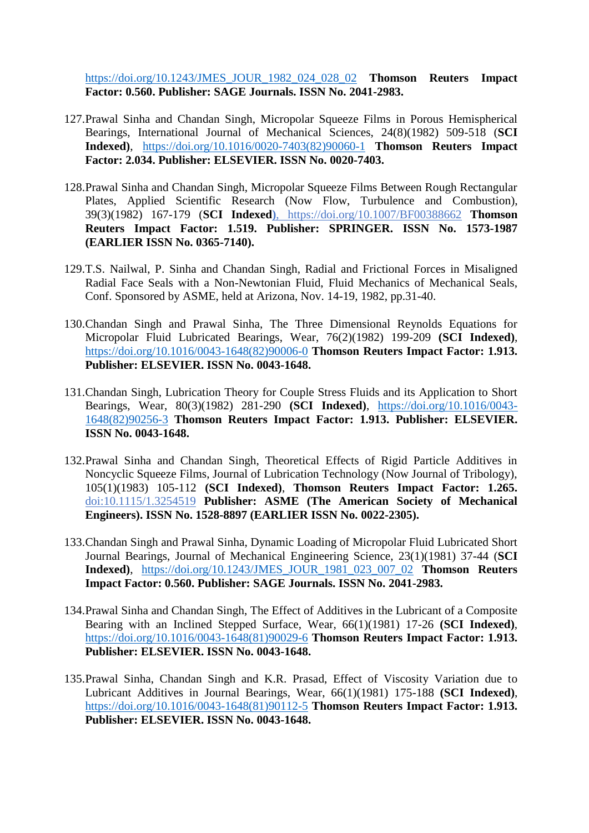[https://doi.org/10.1243/JMES\\_JOUR\\_1982\\_024\\_028\\_02](https://doi.org/10.1243/JMES_JOUR_1982_024_028_02) **Thomson Reuters Impact Factor: 0.560. Publisher: SAGE Journals. ISSN No. 2041-2983.**

- 127.Prawal Sinha and Chandan Singh, Micropolar Squeeze Films in Porous Hemispherical Bearings, International Journal of Mechanical Sciences, 24(8)(1982) 509-518 (**SCI Indexed)**, [https://doi.org/10.1016/0020-7403\(82\)90060-1](https://doi.org/10.1016/0020-7403(82)90060-1) **Thomson Reuters Impact Factor: 2.034. Publisher: ELSEVIER. ISSN No. 0020-7403.**
- 128.Prawal Sinha and Chandan Singh, Micropolar Squeeze Films Between Rough Rectangular Plates, Applied Scientific Research (Now Flow, Turbulence and Combustion), 39(3)(1982) 167-179 (**SCI Indexed)**, https://doi.org/10.1007/BF00388662 **Thomson Reuters Impact Factor: 1.519. Publisher: SPRINGER. ISSN No. 1573-1987 (EARLIER ISSN No. 0365-7140).**
- 129.T.S. Nailwal, P. Sinha and Chandan Singh, Radial and Frictional Forces in Misaligned Radial Face Seals with a Non-Newtonian Fluid, Fluid Mechanics of Mechanical Seals, Conf. Sponsored by ASME, held at Arizona, Nov. 14-19, 1982, pp.31-40.
- 130.Chandan Singh and Prawal Sinha, The Three Dimensional Reynolds Equations for Micropolar Fluid Lubricated Bearings, Wear, 76(2)(1982) 199-209 **(SCI Indexed)**, [https://doi.org/10.1016/0043-1648\(82\)90006-0](https://doi.org/10.1016/0043-1648(82)90006-0) **Thomson Reuters Impact Factor: 1.913. Publisher: ELSEVIER. ISSN No. 0043-1648.**
- 131.Chandan Singh, Lubrication Theory for Couple Stress Fluids and its Application to Short Bearings, Wear, 80(3)(1982) 281-290 **(SCI Indexed)**, [https://doi.org/10.1016/0043-](https://doi.org/10.1016/0043-1648(82)90256-3) [1648\(82\)90256-3](https://doi.org/10.1016/0043-1648(82)90256-3) **Thomson Reuters Impact Factor: 1.913. Publisher: ELSEVIER. ISSN No. 0043-1648.**
- 132.Prawal Sinha and Chandan Singh, Theoretical Effects of Rigid Particle Additives in Noncyclic Squeeze Films, Journal of Lubrication Technology (Now Journal of Tribology), 105(1)(1983) 105-112 **(SCI Indexed)**, **Thomson Reuters Impact Factor: 1.265.** doi:10.1115/1.3254519 **Publisher: ASME (The American Society of Mechanical Engineers). ISSN No. 1528-8897 (EARLIER ISSN No. 0022-2305).**
- 133.Chandan Singh and Prawal Sinha, Dynamic Loading of Micropolar Fluid Lubricated Short Journal Bearings, Journal of Mechanical Engineering Science, 23(1)(1981) 37-44 (**SCI Indexed)**, [https://doi.org/10.1243/JMES\\_JOUR\\_1981\\_023\\_007\\_02](https://doi.org/10.1243/JMES_JOUR_1981_023_007_02) **Thomson Reuters Impact Factor: 0.560. Publisher: SAGE Journals. ISSN No. 2041-2983.**
- 134.Prawal Sinha and Chandan Singh, The Effect of Additives in the Lubricant of a Composite Bearing with an Inclined Stepped Surface, Wear, 66(1)(1981) 17-26 **(SCI Indexed)**, [https://doi.org/10.1016/0043-1648\(81\)90029-6](https://doi.org/10.1016/0043-1648(81)90029-6) **Thomson Reuters Impact Factor: 1.913. Publisher: ELSEVIER. ISSN No. 0043-1648.**
- 135.Prawal Sinha, Chandan Singh and K.R. Prasad, Effect of Viscosity Variation due to Lubricant Additives in Journal Bearings, Wear, 66(1)(1981) 175-188 **(SCI Indexed)**, [https://doi.org/10.1016/0043-1648\(81\)90112-5](https://doi.org/10.1016/0043-1648(81)90112-5) **Thomson Reuters Impact Factor: 1.913. Publisher: ELSEVIER. ISSN No. 0043-1648.**